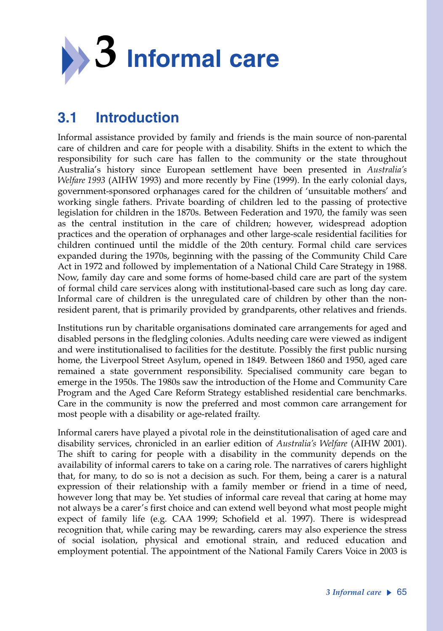

# **3.1 Introduction**

Informal assistance provided by family and friends is the main source of non-parental care of children and care for people with a disability. Shifts in the extent to which the responsibility for such care has fallen to the community or the state throughout Australia's history since European settlement have been presented in *Australia's Welfare 1993* (AIHW 1993) and more recently by Fine (1999). In the early colonial days, government-sponsored orphanages cared for the children of 'unsuitable mothers' and working single fathers. Private boarding of children led to the passing of protective legislation for children in the 1870s. Between Federation and 1970, the family was seen as the central institution in the care of children; however, widespread adoption practices and the operation of orphanages and other large-scale residential facilities for children continued until the middle of the 20th century. Formal child care services expanded during the 1970s, beginning with the passing of the Community Child Care Act in 1972 and followed by implementation of a National Child Care Strategy in 1988. Now, family day care and some forms of home-based child care are part of the system of formal child care services along with institutional-based care such as long day care. Informal care of children is the unregulated care of children by other than the nonresident parent, that is primarily provided by grandparents, other relatives and friends.

Institutions run by charitable organisations dominated care arrangements for aged and disabled persons in the fledgling colonies. Adults needing care were viewed as indigent and were institutionalised to facilities for the destitute. Possibly the first public nursing home, the Liverpool Street Asylum, opened in 1849. Between 1860 and 1950, aged care remained a state government responsibility. Specialised community care began to emerge in the 1950s. The 1980s saw the introduction of the Home and Community Care Program and the Aged Care Reform Strategy established residential care benchmarks. Care in the community is now the preferred and most common care arrangement for most people with a disability or age-related frailty.

Informal carers have played a pivotal role in the deinstitutionalisation of aged care and disability services, chronicled in an earlier edition of *Australia's Welfare* (AIHW 2001). The shift to caring for people with a disability in the community depends on the availability of informal carers to take on a caring role. The narratives of carers highlight that, for many, to do so is not a decision as such. For them, being a carer is a natural expression of their relationship with a family member or friend in a time of need, however long that may be. Yet studies of informal care reveal that caring at home may not always be a carer's first choice and can extend well beyond what most people might expect of family life (e.g. CAA 1999; Schofield et al. 1997). There is widespread recognition that, while caring may be rewarding, carers may also experience the stress of social isolation, physical and emotional strain, and reduced education and employment potential. The appointment of the National Family Carers Voice in 2003 is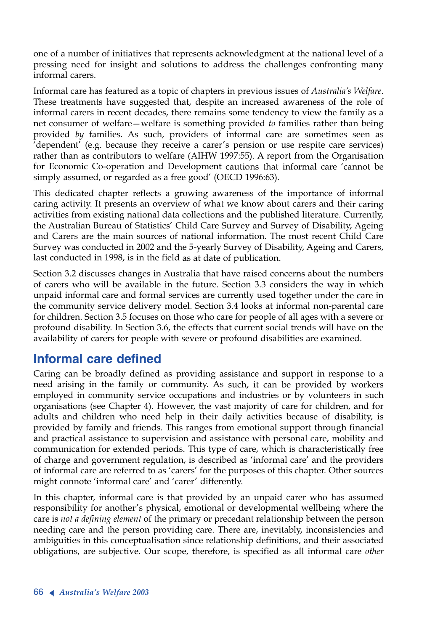one of a number of initiatives that represents acknowledgment at the national level of a pressing need for insight and solutions to address the challenges confronting many informal carers.

Informal care has featured as a topic of chapters in previous issues of *Australia's Welfare*. These treatments have suggested that, despite an increased awareness of the role of informal carers in recent decades, there remains some tendency to view the family as a net consumer of welfare—welfare is something provided *to* families rather than being provided *by* families. As such, providers of informal care are sometimes seen as 'dependent' (e.g. because they receive a carer's pension or use respite care services) rather than as contributors to welfare (AIHW 1997:55). A report from the Organisation for Economic Co-operation and Development cautions that informal care 'cannot be simply assumed, or regarded as a free good' (OECD 1996:63).

This dedicated chapter reflects a growing awareness of the importance of informal caring activity. It presents an overview of what we know about carers and their caring activities from existing national data collections and the published literature. Currently, the Australian Bureau of Statistics' Child Care Survey and Survey of Disability, Ageing and Carers are the main sources of national information. The most recent Child Care Survey was conducted in 2002 and the 5-yearly Survey of Disability, Ageing and Carers, last conducted in 1998, is in the field as at date of publication.

Section 3.2 discusses changes in Australia that have raised concerns about the numbers of carers who will be available in the future. Section 3.3 considers the way in which unpaid informal care and formal services are currently used together under the care in the community service delivery model. Section 3.4 looks at informal non-parental care for children. Section 3.5 focuses on those who care for people of all ages with a severe or profound disability. In Section 3.6, the effects that current social trends will have on the availability of carers for people with severe or profound disabilities are examined.

# **Informal care defined**

Caring can be broadly defined as providing assistance and support in response to a need arising in the family or community. As such, it can be provided by workers employed in community service occupations and industries or by volunteers in such organisations (see Chapter 4). However, the vast majority of care for children, and for adults and children who need help in their daily activities because of disability, is provided by family and friends. This ranges from emotional support through financial and practical assistance to supervision and assistance with personal care, mobility and communication for extended periods. This type of care, which is characteristically free of charge and government regulation, is described as 'informal care' and the providers of informal care are referred to as 'carers' for the purposes of this chapter. Other sources might connote 'informal care' and 'carer' differently.

In this chapter, informal care is that provided by an unpaid carer who has assumed responsibility for another's physical, emotional or developmental wellbeing where the care is *not a defining element* of the primary or precedant relationship between the person needing care and the person providing care. There are, inevitably, inconsistencies and ambiguities in this conceptualisation since relationship definitions, and their associated obligations, are subjective. Our scope, therefore, is specified as all informal care *other*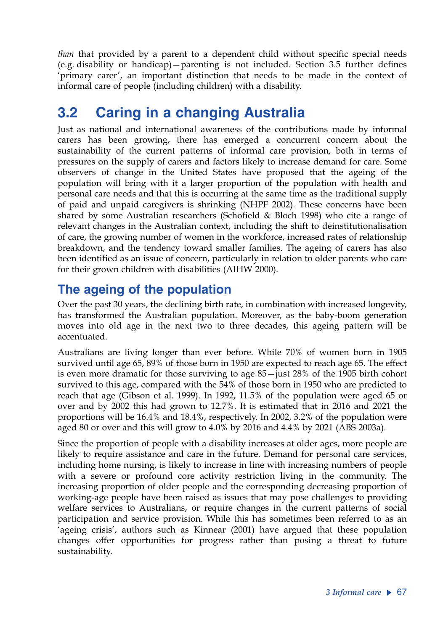*than* that provided by a parent to a dependent child without specific special needs (e.g. disability or handicap)—parenting is not included. Section 3.5 further defines 'primary carer', an important distinction that needs to be made in the context of informal care of people (including children) with a disability.

# **3.2 Caring in a changing Australia**

Just as national and international awareness of the contributions made by informal carers has been growing, there has emerged a concurrent concern about the sustainability of the current patterns of informal care provision, both in terms of pressures on the supply of carers and factors likely to increase demand for care. Some observers of change in the United States have proposed that the ageing of the population will bring with it a larger proportion of the population with health and personal care needs and that this is occurring at the same time as the traditional supply of paid and unpaid caregivers is shrinking (NHPF 2002). These concerns have been shared by some Australian researchers (Schofield & Bloch 1998) who cite a range of relevant changes in the Australian context, including the shift to deinstitutionalisation of care, the growing number of women in the workforce, increased rates of relationship breakdown, and the tendency toward smaller families. The ageing of carers has also been identified as an issue of concern, particularly in relation to older parents who care for their grown children with disabilities (AIHW 2000).

# **The ageing of the population**

Over the past 30 years, the declining birth rate, in combination with increased longevity, has transformed the Australian population. Moreover, as the baby-boom generation moves into old age in the next two to three decades, this ageing pattern will be accentuated.

Australians are living longer than ever before. While 70% of women born in 1905 survived until age 65, 89% of those born in 1950 are expected to reach age 65. The effect is even more dramatic for those surviving to age 85—just 28% of the 1905 birth cohort survived to this age, compared with the 54% of those born in 1950 who are predicted to reach that age (Gibson et al. 1999). In 1992, 11.5% of the population were aged 65 or over and by 2002 this had grown to 12.7%. It is estimated that in 2016 and 2021 the proportions will be 16.4% and 18.4%, respectively. In 2002, 3.2% of the population were aged 80 or over and this will grow to 4.0% by 2016 and 4.4% by 2021 (ABS 2003a).

Since the proportion of people with a disability increases at older ages, more people are likely to require assistance and care in the future. Demand for personal care services, including home nursing, is likely to increase in line with increasing numbers of people with a severe or profound core activity restriction living in the community. The increasing proportion of older people and the corresponding decreasing proportion of working-age people have been raised as issues that may pose challenges to providing welfare services to Australians, or require changes in the current patterns of social participation and service provision. While this has sometimes been referred to as an 'ageing crisis', authors such as Kinnear (2001) have argued that these population changes offer opportunities for progress rather than posing a threat to future sustainability.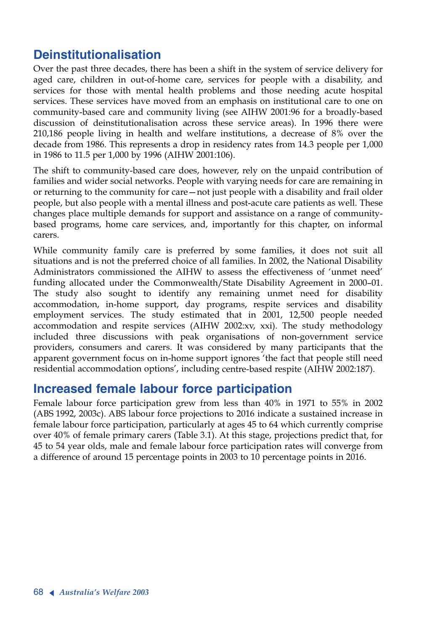# **Deinstitutionalisation**

Over the past three decades, there has been a shift in the system of service delivery for aged care, children in out-of-home care, services for people with a disability, and services for those with mental health problems and those needing acute hospital services. These services have moved from an emphasis on institutional care to one on community-based care and community living (see AIHW 2001:96 for a broadly-based discussion of deinstitutionalisation across these service areas). In 1996 there were 210,186 people living in health and welfare institutions, a decrease of 8% over the decade from 1986. This represents a drop in residency rates from 14.3 people per 1,000 in 1986 to 11.5 per 1,000 by 1996 (AIHW 2001:106).

The shift to community-based care does, however, rely on the unpaid contribution of families and wider social networks. People with varying needs for care are remaining in or returning to the community for care—not just people with a disability and frail older people, but also people with a mental illness and post-acute care patients as well. These changes place multiple demands for support and assistance on a range of communitybased programs, home care services, and, importantly for this chapter, on informal carers.

While community family care is preferred by some families, it does not suit all situations and is not the preferred choice of all families. In 2002, the National Disability Administrators commissioned the AIHW to assess the effectiveness of 'unmet need' funding allocated under the Commonwealth/State Disability Agreement in 2000–01. The study also sought to identify any remaining unmet need for disability accommodation, in-home support, day programs, respite services and disability employment services. The study estimated that in 2001, 12,500 people needed accommodation and respite services (AIHW 2002:xv, xxi). The study methodology included three discussions with peak organisations of non-government service providers, consumers and carers. It was considered by many participants that the apparent government focus on in-home support ignores 'the fact that people still need residential accommodation options', including centre-based respite (AIHW 2002:187).

## **Increased female labour force participation**

Female labour force participation grew from less than 40% in 1971 to 55% in 2002 (ABS 1992, 2003c). ABS labour force projections to 2016 indicate a sustained increase in female labour force participation, particularly at ages 45 to 64 which currently comprise over 40% of female primary carers (Table 3.1). At this stage, projections predict that, for 45 to 54 year olds, male and female labour force participation rates will converge from a difference of around 15 percentage points in 2003 to 10 percentage points in 2016.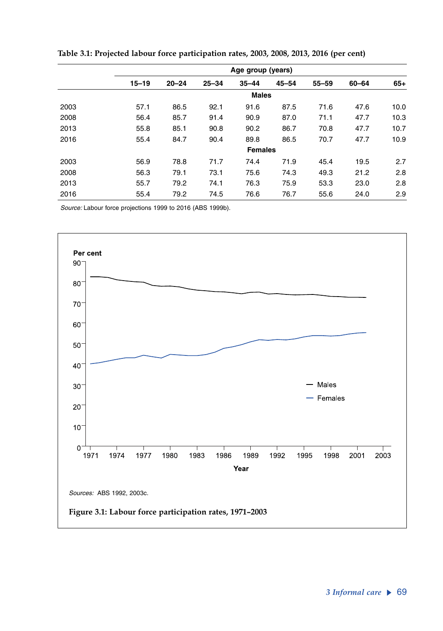|      | Age group (years) |              |           |                |           |           |       |       |  |  |  |  |
|------|-------------------|--------------|-----------|----------------|-----------|-----------|-------|-------|--|--|--|--|
|      | $15 - 19$         | $20 - 24$    | $25 - 34$ | $35 - 44$      | $45 - 54$ | $55 - 59$ | 60-64 | $65+$ |  |  |  |  |
|      |                   | <b>Males</b> |           |                |           |           |       |       |  |  |  |  |
| 2003 | 57.1              | 86.5         | 92.1      | 91.6           | 87.5      | 71.6      | 47.6  | 10.0  |  |  |  |  |
| 2008 | 56.4              | 85.7         | 91.4      | 90.9           | 87.0      | 71.1      | 47.7  | 10.3  |  |  |  |  |
| 2013 | 55.8              | 85.1         | 90.8      | 90.2           | 86.7      | 70.8      | 47.7  | 10.7  |  |  |  |  |
| 2016 | 55.4              | 84.7         | 90.4      | 89.8           | 86.5      | 70.7      | 47.7  | 10.9  |  |  |  |  |
|      |                   |              |           | <b>Females</b> |           |           |       |       |  |  |  |  |
| 2003 | 56.9              | 78.8         | 71.7      | 74.4           | 71.9      | 45.4      | 19.5  | 2.7   |  |  |  |  |
| 2008 | 56.3              | 79.1         | 73.1      | 75.6           | 74.3      | 49.3      | 21.2  | 2.8   |  |  |  |  |
| 2013 | 55.7              | 79.2         | 74.1      | 76.3           | 75.9      | 53.3      | 23.0  | 2.8   |  |  |  |  |
| 2016 | 55.4              | 79.2         | 74.5      | 76.6           | 76.7      | 55.6      | 24.0  | 2.9   |  |  |  |  |

**Table 3.1: Projected labour force participation rates, 2003, 2008, 2013, 2016 (per cent)**

*Source:* Labour force projections 1999 to 2016 (ABS 1999b).

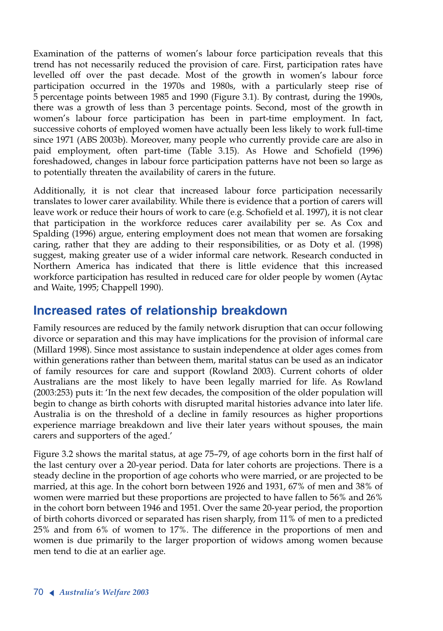Examination of the patterns of women's labour force participation reveals that this trend has not necessarily reduced the provision of care. First, participation rates have levelled off over the past decade. Most of the growth in women's labour force participation occurred in the 1970s and 1980s, with a particularly steep rise of 5 percentage points between 1985 and 1990 (Figure 3.1). By contrast, during the 1990s, there was a growth of less than 3 percentage points. Second, most of the growth in women's labour force participation has been in part-time employment. In fact, successive cohorts of employed women have actually been less likely to work full-time since 1971 (ABS 2003b). Moreover, many people who currently provide care are also in paid employment, often part-time (Table 3.15). As Howe and Schofield (1996) foreshadowed, changes in labour force participation patterns have not been so large as to potentially threaten the availability of carers in the future.

Additionally, it is not clear that increased labour force participation necessarily translates to lower carer availability. While there is evidence that a portion of carers will leave work or reduce their hours of work to care (e.g. Schofield et al. 1997), it is not clear that participation in the workforce reduces carer availability per se. As Cox and Spalding (1996) argue, entering employment does not mean that women are forsaking caring, rather that they are adding to their responsibilities, or as Doty et al. (1998) suggest, making greater use of a wider informal care network. Research conducted in Northern America has indicated that there is little evidence that this increased workforce participation has resulted in reduced care for older people by women (Aytac and Waite, 1995; Chappell 1990).

## **Increased rates of relationship breakdown**

Family resources are reduced by the family network disruption that can occur following divorce or separation and this may have implications for the provision of informal care (Millard 1998). Since most assistance to sustain independence at older ages comes from within generations rather than between them, marital status can be used as an indicator of family resources for care and support (Rowland 2003). Current cohorts of older Australians are the most likely to have been legally married for life. As Rowland (2003:253) puts it: 'In the next few decades, the composition of the older population will begin to change as birth cohorts with disrupted marital histories advance into later life. Australia is on the threshold of a decline in family resources as higher proportions experience marriage breakdown and live their later years without spouses, the main carers and supporters of the aged.'

Figure 3.2 shows the marital status, at age 75–79, of age cohorts born in the first half of the last century over a 20-year period. Data for later cohorts are projections. There is a steady decline in the proportion of age cohorts who were married, or are projected to be married, at this age. In the cohort born between 1926 and 1931, 67% of men and 38% of women were married but these proportions are projected to have fallen to 56% and 26% in the cohort born between 1946 and 1951. Over the same 20-year period, the proportion of birth cohorts divorced or separated has risen sharply, from 11% of men to a predicted 25% and from 6% of women to 17%. The difference in the proportions of men and women is due primarily to the larger proportion of widows among women because men tend to die at an earlier age.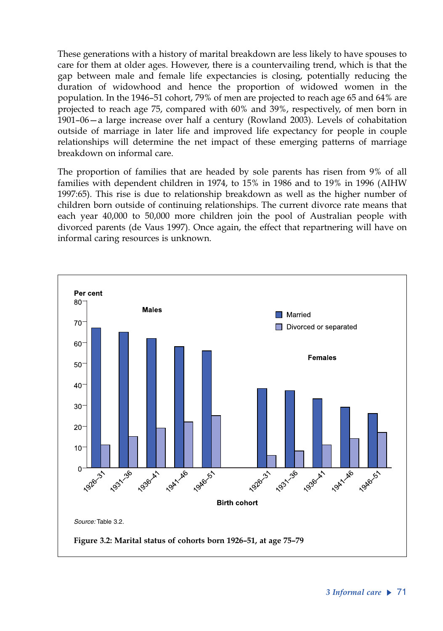These generations with a history of marital breakdown are less likely to have spouses to care for them at older ages. However, there is a countervailing trend, which is that the gap between male and female life expectancies is closing, potentially reducing the duration of widowhood and hence the proportion of widowed women in the population. In the 1946–51 cohort, 79% of men are projected to reach age 65 and 64% are projected to reach age 75, compared with 60% and 39%, respectively, of men born in 1901–06—a large increase over half a century (Rowland 2003). Levels of cohabitation outside of marriage in later life and improved life expectancy for people in couple relationships will determine the net impact of these emerging patterns of marriage breakdown on informal care.

The proportion of families that are headed by sole parents has risen from 9% of all families with dependent children in 1974, to 15% in 1986 and to 19% in 1996 (AIHW 1997:65). This rise is due to relationship breakdown as well as the higher number of children born outside of continuing relationships. The current divorce rate means that each year 40,000 to 50,000 more children join the pool of Australian people with divorced parents (de Vaus 1997). Once again, the effect that repartnering will have on informal caring resources is unknown.

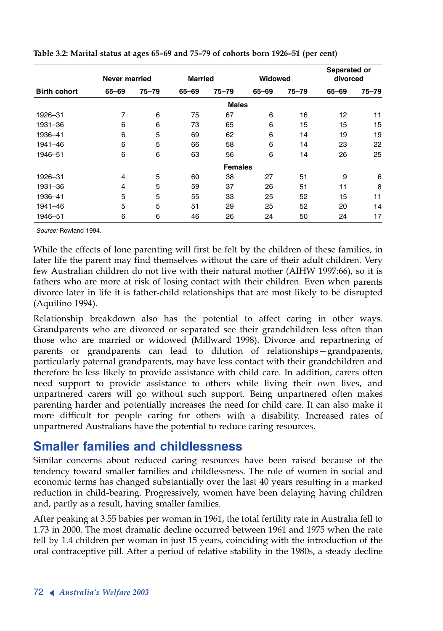| <b>Birth cohort</b> | <b>Never married</b> |           | <b>Married</b> |                | Widowed |           | Separated or<br>divorced |           |
|---------------------|----------------------|-----------|----------------|----------------|---------|-----------|--------------------------|-----------|
|                     | 65-69                | $75 - 79$ | 65-69          | 75–79          | 65-69   | $75 - 79$ | 65-69                    | $75 - 79$ |
|                     |                      |           |                | <b>Males</b>   |         |           |                          |           |
| 1926-31             | 7                    | 6         | 75             | 67             | 6       | 16        | 12                       | 11        |
| 1931-36             | 6                    | 6         | 73             | 65             | 6       | 15        | 15                       | 15        |
| 1936-41             | 6                    | 5         | 69             | 62             | 6       | 14        | 19                       | 19        |
| 1941-46             | 6                    | 5         | 66             | 58             | 6       | 14        | 23                       | 22        |
| 1946-51             | 6                    | 6         | 63             | 56             | 6       | 14        | 26                       | 25        |
|                     |                      |           |                | <b>Females</b> |         |           |                          |           |
| 1926-31             | 4                    | 5         | 60             | 38             | 27      | 51        | 9                        | 6         |
| 1931-36             | $\overline{4}$       | 5         | 59             | 37             | 26      | 51        | 11                       | 8         |
| 1936-41             | 5                    | 5         | 55             | 33             | 25      | 52        | 15                       | 11        |
| 1941-46             | 5                    | 5         | 51             | 29             | 25      | 52        | 20                       | 14        |
| 1946-51             | 6                    | 6         | 46             | 26             | 24      | 50        | 24                       | 17        |

**Table 3.2: Marital status at ages 65–69 and 75–79 of cohorts born 1926–51 (per cent)**

*Source:* Rowland 1994.

While the effects of lone parenting will first be felt by the children of these families, in later life the parent may find themselves without the care of their adult children. Very few Australian children do not live with their natural mother (AIHW 1997:66), so it is fathers who are more at risk of losing contact with their children. Even when parents divorce later in life it is father-child relationships that are most likely to be disrupted (Aquilino 1994).

Relationship breakdown also has the potential to affect caring in other ways. Grandparents who are divorced or separated see their grandchildren less often than those who are married or widowed (Millward 1998). Divorce and repartnering of parents or grandparents can lead to dilution of relationships—grandparents, particularly paternal grandparents, may have less contact with their grandchildren and therefore be less likely to provide assistance with child care. In addition, carers often need support to provide assistance to others while living their own lives, and unpartnered carers will go without such support. Being unpartnered often makes parenting harder and potentially increases the need for child care. It can also make it more difficult for people caring for others with a disability. Increased rates of unpartnered Australians have the potential to reduce caring resources.

## **Smaller families and childlessness**

Similar concerns about reduced caring resources have been raised because of the tendency toward smaller families and childlessness. The role of women in social and economic terms has changed substantially over the last 40 years resulting in a marked reduction in child-bearing. Progressively, women have been delaying having children and, partly as a result, having smaller families.

After peaking at 3.55 babies per woman in 1961, the total fertility rate in Australia fell to 1.73 in 2000. The most dramatic decline occurred between 1961 and 1975 when the rate fell by 1.4 children per woman in just 15 years, coinciding with the introduction of the oral contraceptive pill. After a period of relative stability in the 1980s, a steady decline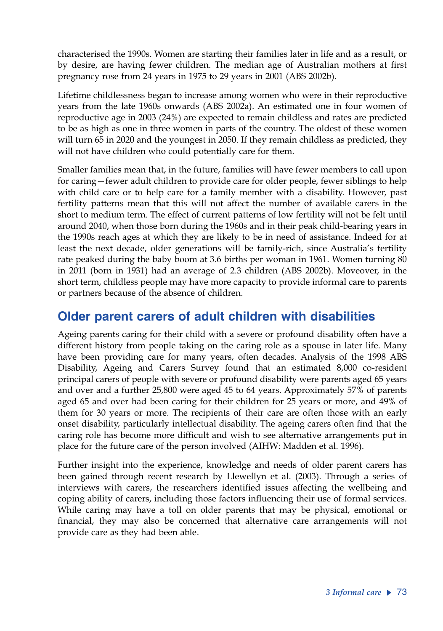characterised the 1990s. Women are starting their families later in life and as a result, or by desire, are having fewer children. The median age of Australian mothers at first pregnancy rose from 24 years in 1975 to 29 years in 2001 (ABS 2002b).

Lifetime childlessness began to increase among women who were in their reproductive years from the late 1960s onwards (ABS 2002a). An estimated one in four women of reproductive age in 2003 (24%) are expected to remain childless and rates are predicted to be as high as one in three women in parts of the country. The oldest of these women will turn 65 in 2020 and the youngest in 2050. If they remain childless as predicted, they will not have children who could potentially care for them.

Smaller families mean that, in the future, families will have fewer members to call upon for caring—fewer adult children to provide care for older people, fewer siblings to help with child care or to help care for a family member with a disability. However, past fertility patterns mean that this will not affect the number of available carers in the short to medium term. The effect of current patterns of low fertility will not be felt until around 2040, when those born during the 1960s and in their peak child-bearing years in the 1990s reach ages at which they are likely to be in need of assistance. Indeed for at least the next decade, older generations will be family-rich, since Australia's fertility rate peaked during the baby boom at 3.6 births per woman in 1961. Women turning 80 in 2011 (born in 1931) had an average of 2.3 children (ABS 2002b). Moveover, in the short term, childless people may have more capacity to provide informal care to parents or partners because of the absence of children.

## **Older parent carers of adult children with disabilities**

Ageing parents caring for their child with a severe or profound disability often have a different history from people taking on the caring role as a spouse in later life. Many have been providing care for many years, often decades. Analysis of the 1998 ABS Disability, Ageing and Carers Survey found that an estimated 8,000 co-resident principal carers of people with severe or profound disability were parents aged 65 years and over and a further 25,800 were aged 45 to 64 years. Approximately 57% of parents aged 65 and over had been caring for their children for 25 years or more, and 49% of them for 30 years or more. The recipients of their care are often those with an early onset disability, particularly intellectual disability. The ageing carers often find that the caring role has become more difficult and wish to see alternative arrangements put in place for the future care of the person involved (AIHW: Madden et al. 1996).

Further insight into the experience, knowledge and needs of older parent carers has been gained through recent research by Llewellyn et al. (2003). Through a series of interviews with carers, the researchers identified issues affecting the wellbeing and coping ability of carers, including those factors influencing their use of formal services. While caring may have a toll on older parents that may be physical, emotional or financial, they may also be concerned that alternative care arrangements will not provide care as they had been able.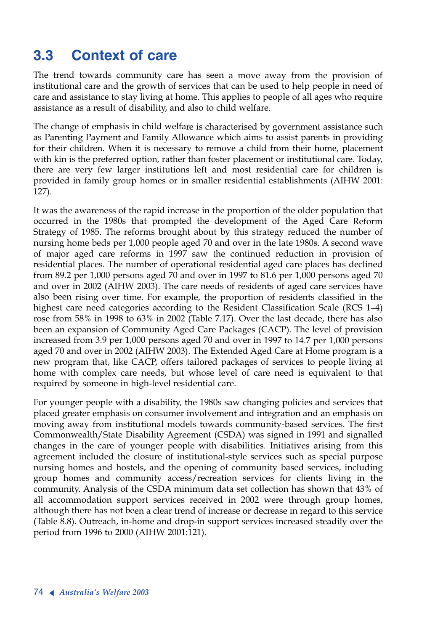# **3.3 Context of care**

The trend towards community care has seen a move away from the provision of institutional care and the growth of services that can be used to help people in need of care and assistance to stay living at home. This applies to people of all ages who require assistance as a result of disability, and also to child welfare.

The change of emphasis in child welfare is characterised by government assistance such as Parenting Payment and Family Allowance which aims to assist parents in providing for their children. When it is necessary to remove a child from their home, placement with kin is the preferred option, rather than foster placement or institutional care. Today, there are very few larger institutions left and most residential care for children is provided in family group homes or in smaller residential establishments (AIHW 2001: 127).

It was the awareness of the rapid increase in the proportion of the older population that occurred in the 1980s that prompted the development of the Aged Care Reform Strategy of 1985. The reforms brought about by this strategy reduced the number of nursing home beds per 1,000 people aged 70 and over in the late 1980s. A second wave of major aged care reforms in 1997 saw the continued reduction in provision of residential places. The number of operational residential aged care places has declined from 89.2 per 1,000 persons aged 70 and over in 1997 to 81.6 per 1,000 persons aged 70 and over in 2002 (AIHW 2003). The care needs of residents of aged care services have also been rising over time. For example, the proportion of residents classified in the highest care need categories according to the Resident Classification Scale (RCS 1-4) rose from 58% in 1998 to 63% in 2002 (Table 7.17). Over the last decade, there has also been an expansion of Community Aged Care Packages (CACP). The level of provision increased from 3.9 per 1,000 persons aged 70 and over in 1997 to 14.7 per 1,000 persons aged 70 and over in 2002 (AIHW 2003). The Extended Aged Care at Home program is a new program that, like CACP, offers tailored packages of services to people living at home with complex care needs, but whose level of care need is equivalent to that required by someone in high-level residential care.

For younger people with a disability, the 1980s saw changing policies and services that placed greater emphasis on consumer involvement and integration and an emphasis on moving away from institutional models towards community-based services. The first Commonwealth/State Disability Agreement (CSDA) was signed in 1991 and signalled changes in the care of younger people with disabilities. Initiatives arising from this agreement included the closure of institutional-style services such as special purpose nursing homes and hostels, and the opening of community based services, including group homes and community access/recreation services for clients living in the community. Analysis of the CSDA minimum data set collection has shown that 43% of all accommodation support services received in 2002 were through group homes, although there has not been a clear trend of increase or decrease in regard to this service (Table 8.8). Outreach, in-home and drop-in support services increased steadily over the period from 1996 to 2000 (AIHW 2001:121).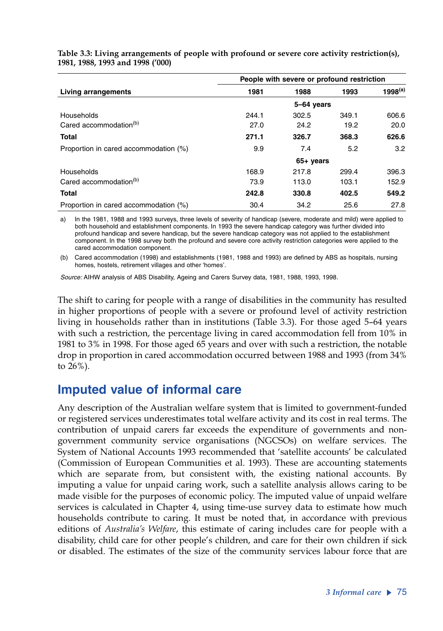|                                       | People with severe or profound restriction |             |       |              |  |  |  |  |
|---------------------------------------|--------------------------------------------|-------------|-------|--------------|--|--|--|--|
| Living arrangements                   | 1981                                       | 1988        | 1993  | $1998^{(a)}$ |  |  |  |  |
|                                       | 5-64 years                                 |             |       |              |  |  |  |  |
| Households                            | 244.1                                      | 302.5       | 349.1 | 606.6        |  |  |  |  |
| Cared accommodation <sup>(b)</sup>    | 27.0                                       | 24.2        | 19.2  | 20.0         |  |  |  |  |
| <b>Total</b>                          | 271.1                                      | 326.7       | 368.3 | 626.6        |  |  |  |  |
| Proportion in cared accommodation (%) | 9.9                                        | 7.4         | 5.2   | 3.2          |  |  |  |  |
|                                       |                                            | $65+$ years |       |              |  |  |  |  |
| Households                            | 168.9                                      | 217.8       | 299.4 | 396.3        |  |  |  |  |
| Cared accommodation <sup>(b)</sup>    | 73.9                                       | 113.0       | 103.1 | 152.9        |  |  |  |  |
| <b>Total</b>                          | 242.8                                      | 330.8       | 402.5 | 549.2        |  |  |  |  |
| Proportion in cared accommodation (%) | 30.4                                       | 34.2        | 25.6  | 27.8         |  |  |  |  |

**Table 3.3: Living arrangements of people with profound or severe core activity restriction(s), 1981, 1988, 1993 and 1998 ('000)**

a) In the 1981, 1988 and 1993 surveys, three levels of severity of handicap (severe, moderate and mild) were applied to both household and establishment components. In 1993 the severe handicap category was further divided into profound handicap and severe handicap, but the severe handicap category was not applied to the establishment component. In the 1998 survey both the profound and severe core activity restriction categories were applied to the cared accommodation component.

(b) Cared accommodation (1998) and establishments (1981, 1988 and 1993) are defined by ABS as hospitals, nursing homes, hostels, retirement villages and other 'homes'.

*Source:* AIHW analysis of ABS Disability, Ageing and Carers Survey data, 1981, 1988, 1993, 1998.

The shift to caring for people with a range of disabilities in the community has resulted in higher proportions of people with a severe or profound level of activity restriction living in households rather than in institutions (Table 3.3). For those aged 5–64 years with such a restriction, the percentage living in cared accommodation fell from 10% in 1981 to 3% in 1998. For those aged 65 years and over with such a restriction, the notable drop in proportion in cared accommodation occurred between 1988 and 1993 (from 34% to 26%).

# **Imputed value of informal care**

Any description of the Australian welfare system that is limited to government-funded or registered services underestimates total welfare activity and its cost in real terms. The contribution of unpaid carers far exceeds the expenditure of governments and nongovernment community service organisations (NGCSOs) on welfare services. The System of National Accounts 1993 recommended that 'satellite accounts' be calculated (Commission of European Communities et al. 1993). These are accounting statements which are separate from, but consistent with, the existing national accounts. By imputing a value for unpaid caring work, such a satellite analysis allows caring to be made visible for the purposes of economic policy. The imputed value of unpaid welfare services is calculated in Chapter 4, using time-use survey data to estimate how much households contribute to caring. It must be noted that, in accordance with previous editions of *Australia's Welfare*, this estimate of caring includes care for people with a disability, child care for other people's children, and care for their own children if sick or disabled. The estimates of the size of the community services labour force that are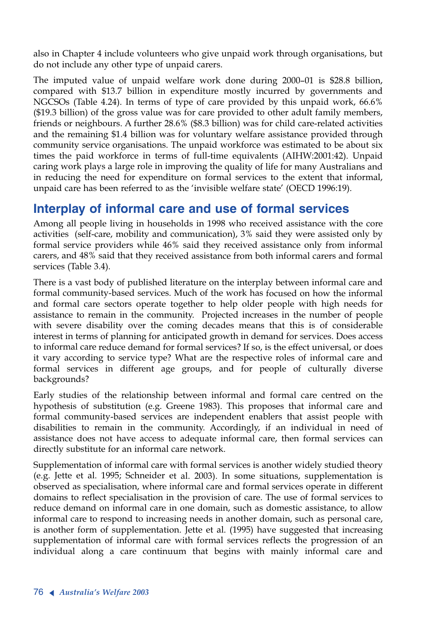also in Chapter 4 include volunteers who give unpaid work through organisations, but do not include any other type of unpaid carers.

The imputed value of unpaid welfare work done during 2000–01 is \$28.8 billion, compared with \$13.7 billion in expenditure mostly incurred by governments and NGCSOs (Table 4.24). In terms of type of care provided by this unpaid work, 66.6% (\$19.3 billion) of the gross value was for care provided to other adult family members, friends or neighbours. A further 28.6% (\$8.3 billion) was for child care-related activities and the remaining \$1.4 billion was for voluntary welfare assistance provided through community service organisations. The unpaid workforce was estimated to be about six times the paid workforce in terms of full-time equivalents (AIHW:2001:42). Unpaid caring work plays a large role in improving the quality of life for many Australians and in reducing the need for expenditure on formal services to the extent that informal, unpaid care has been referred to as the 'invisible welfare state' (OECD 1996:19).

# **Interplay of informal care and use of formal services**

Among all people living in households in 1998 who received assistance with the core activities (self-care, mobility and communication), 3% said they were assisted only by formal service providers while 46% said they received assistance only from informal carers, and 48% said that they received assistance from both informal carers and formal services (Table 3.4).

There is a vast body of published literature on the interplay between informal care and formal community-based services. Much of the work has focused on how the informal and formal care sectors operate together to help older people with high needs for assistance to remain in the community. Projected increases in the number of people with severe disability over the coming decades means that this is of considerable interest in terms of planning for anticipated growth in demand for services. Does access to informal care reduce demand for formal services? If so, is the effect universal, or does it vary according to service type? What are the respective roles of informal care and formal services in different age groups, and for people of culturally diverse backgrounds?

Early studies of the relationship between informal and formal care centred on the hypothesis of substitution (e.g. Greene 1983). This proposes that informal care and formal community-based services are independent enablers that assist people with disabilities to remain in the community. Accordingly, if an individual in need of assistance does not have access to adequate informal care, then formal services can directly substitute for an informal care network.

Supplementation of informal care with formal services is another widely studied theory (e.g. Jette et al. 1995; Schneider et al. 2003). In some situations, supplementation is observed as specialisation, where informal care and formal services operate in different domains to reflect specialisation in the provision of care. The use of formal services to reduce demand on informal care in one domain, such as domestic assistance, to allow informal care to respond to increasing needs in another domain, such as personal care, is another form of supplementation. Jette et al. (1995) have suggested that increasing supplementation of informal care with formal services reflects the progression of an individual along a care continuum that begins with mainly informal care and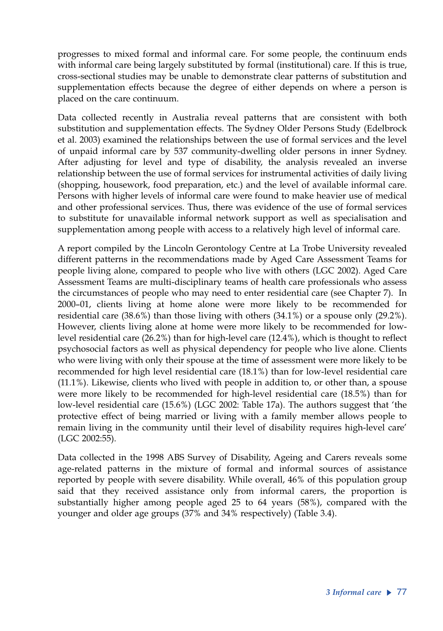progresses to mixed formal and informal care. For some people, the continuum ends with informal care being largely substituted by formal (institutional) care. If this is true, cross-sectional studies may be unable to demonstrate clear patterns of substitution and supplementation effects because the degree of either depends on where a person is placed on the care continuum.

Data collected recently in Australia reveal patterns that are consistent with both substitution and supplementation effects. The Sydney Older Persons Study (Edelbrock et al. 2003) examined the relationships between the use of formal services and the level of unpaid informal care by 537 community-dwelling older persons in inner Sydney. After adjusting for level and type of disability, the analysis revealed an inverse relationship between the use of formal services for instrumental activities of daily living (shopping, housework, food preparation, etc.) and the level of available informal care. Persons with higher levels of informal care were found to make heavier use of medical and other professional services. Thus, there was evidence of the use of formal services to substitute for unavailable informal network support as well as specialisation and supplementation among people with access to a relatively high level of informal care.

A report compiled by the Lincoln Gerontology Centre at La Trobe University revealed different patterns in the recommendations made by Aged Care Assessment Teams for people living alone, compared to people who live with others (LGC 2002). Aged Care Assessment Teams are multi-disciplinary teams of health care professionals who assess the circumstances of people who may need to enter residential care (see Chapter 7). In 2000–01, clients living at home alone were more likely to be recommended for residential care (38.6%) than those living with others (34.1%) or a spouse only (29.2%). However, clients living alone at home were more likely to be recommended for lowlevel residential care (26.2%) than for high-level care (12.4%), which is thought to reflect psychosocial factors as well as physical dependency for people who live alone. Clients who were living with only their spouse at the time of assessment were more likely to be recommended for high level residential care (18.1%) than for low-level residential care (11.1%). Likewise, clients who lived with people in addition to, or other than, a spouse were more likely to be recommended for high-level residential care (18.5%) than for low-level residential care (15.6%) (LGC 2002: Table 17a). The authors suggest that 'the protective effect of being married or living with a family member allows people to remain living in the community until their level of disability requires high-level care' (LGC 2002:55).

Data collected in the 1998 ABS Survey of Disability, Ageing and Carers reveals some age-related patterns in the mixture of formal and informal sources of assistance reported by people with severe disability. While overall, 46% of this population group said that they received assistance only from informal carers, the proportion is substantially higher among people aged 25 to 64 years (58%), compared with the younger and older age groups (37% and 34% respectively) (Table 3.4).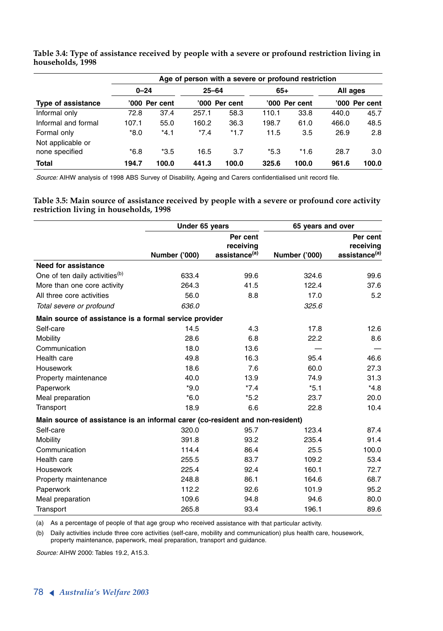|                                     | Age of person with a severe or profound restriction |               |           |               |        |               |          |               |  |  |  |
|-------------------------------------|-----------------------------------------------------|---------------|-----------|---------------|--------|---------------|----------|---------------|--|--|--|
|                                     | $0 - 24$                                            |               | $25 - 64$ |               | 65+    |               | All ages |               |  |  |  |
| <b>Type of assistance</b>           |                                                     | '000 Per cent |           | '000 Per cent |        | '000 Per cent |          | '000 Per cent |  |  |  |
| Informal only                       | 72.8                                                | 37.4          | 257.1     | 58.3          | 110.1  | 33.8          | 440.0    | 45.7          |  |  |  |
| Informal and formal                 | 107.1                                               | 55.0          | 160.2     | 36.3          | 198.7  | 61.0          | 466.0    | 48.5          |  |  |  |
| Formal only                         | *8.0                                                | $*4.1$        | $*7.4$    | $*1.7$        | 11.5   | 3.5           | 26.9     | 2.8           |  |  |  |
| Not applicable or<br>none specified | $*6.8$                                              | $*3.5$        | 16.5      | 3.7           | $*5.3$ | $*1.6$        | 28.7     | 3.0           |  |  |  |
| <b>Total</b>                        | 194.7                                               | 100.0         | 441.3     | 100.0         | 325.6  | 100.0         | 961.6    | 100.0         |  |  |  |

**Table 3.4: Type of assistance received by people with a severe or profound restriction living in households, 1998**

*Source:* AIHW analysis of 1998 ABS Survey of Disability, Ageing and Carers confidentialised unit record file.

**Table 3.5: Main source of assistance received by people with a severe or profound core activity restriction living in households, 1998**

|                                                                               | Under 65 years |                                                    | 65 years and over |                                                    |
|-------------------------------------------------------------------------------|----------------|----------------------------------------------------|-------------------|----------------------------------------------------|
|                                                                               | Number ('000)  | Per cent<br>receiving<br>assistance <sup>(a)</sup> | Number ('000)     | Per cent<br>receiving<br>assistance <sup>(a)</sup> |
| <b>Need for assistance</b>                                                    |                |                                                    |                   |                                                    |
| One of ten daily activities <sup>(b)</sup>                                    | 633.4          | 99.6                                               | 324.6             | 99.6                                               |
| More than one core activity                                                   | 264.3          | 41.5                                               | 122.4             | 37.6                                               |
| All three core activities                                                     | 56.0           | 8.8                                                | 17.0              | 5.2                                                |
| Total severe or profound                                                      | 636.0          |                                                    | 325.6             |                                                    |
| Main source of assistance is a formal service provider                        |                |                                                    |                   |                                                    |
| Self-care                                                                     | 14.5           | 4.3                                                | 17.8              | 12.6                                               |
| Mobility                                                                      | 28.6           | 6.8                                                | 22.2              | 8.6                                                |
| Communication                                                                 | 18.0           | 13.6                                               |                   |                                                    |
| Health care                                                                   | 49.8           | 16.3                                               | 95.4              | 46.6                                               |
| Housework                                                                     | 18.6           | 7.6                                                | 60.0              | 27.3                                               |
| Property maintenance                                                          | 40.0           | 13.9                                               | 74.9              | 31.3                                               |
| Paperwork                                                                     | $*9.0$         | $*7.4$                                             | $*5.1$            | $*4.8$                                             |
| Meal preparation                                                              | $*6.0$         | $*5.2$                                             | 23.7              | 20.0                                               |
| Transport                                                                     | 18.9           | 6.6                                                | 22.8              | 10.4                                               |
| Main source of assistance is an informal carer (co-resident and non-resident) |                |                                                    |                   |                                                    |
| Self-care                                                                     | 320.0          | 95.7                                               | 123.4             | 87.4                                               |
| Mobility                                                                      | 391.8          | 93.2                                               | 235.4             | 91.4                                               |
| Communication                                                                 | 114.4          | 86.4                                               | 25.5              | 100.0                                              |
| Health care                                                                   | 255.5          | 83.7                                               | 109.2             | 53.4                                               |
| Housework                                                                     | 225.4          | 92.4                                               | 160.1             | 72.7                                               |
| Property maintenance                                                          | 248.8          | 86.1                                               | 164.6             | 68.7                                               |
| Paperwork                                                                     | 112.2          | 92.6                                               | 101.9             | 95.2                                               |
| Meal preparation                                                              | 109.6          | 94.8                                               | 94.6              | 80.0                                               |
| Transport                                                                     | 265.8          | 93.4                                               | 196.1             | 89.6                                               |

(a) As a percentage of people of that age group who received assistance with that particular activity.

(b) Daily activities include three core activities (self-care, mobility and communication) plus health care, housework, property maintenance, paperwork, meal preparation, transport and guidance.

*Source:* AIHW 2000: Tables 19.2, A15.3.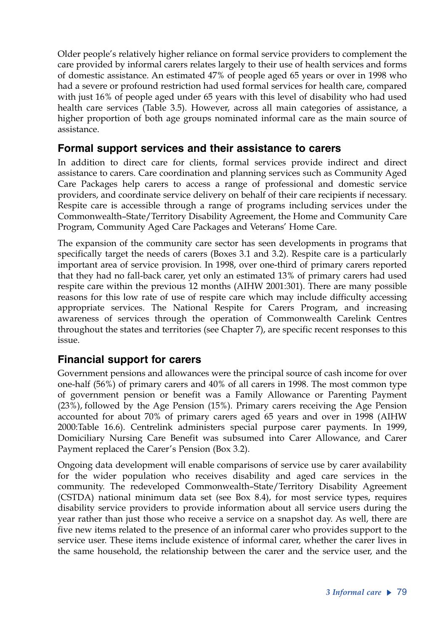Older people's relatively higher reliance on formal service providers to complement the care provided by informal carers relates largely to their use of health services and forms of domestic assistance. An estimated 47% of people aged 65 years or over in 1998 who had a severe or profound restriction had used formal services for health care, compared with just 16% of people aged under 65 years with this level of disability who had used health care services (Table 3.5). However, across all main categories of assistance, a higher proportion of both age groups nominated informal care as the main source of assistance.

### **Formal support services and their assistance to carers**

In addition to direct care for clients, formal services provide indirect and direct assistance to carers. Care coordination and planning services such as Community Aged Care Packages help carers to access a range of professional and domestic service providers, and coordinate service delivery on behalf of their care recipients if necessary. Respite care is accessible through a range of programs including services under the Commonwealth–State/Territory Disability Agreement, the Home and Community Care Program, Community Aged Care Packages and Veterans' Home Care.

The expansion of the community care sector has seen developments in programs that specifically target the needs of carers (Boxes 3.1 and 3.2). Respite care is a particularly important area of service provision. In 1998, over one-third of primary carers reported that they had no fall-back carer, yet only an estimated 13% of primary carers had used respite care within the previous 12 months (AIHW 2001:301). There are many possible reasons for this low rate of use of respite care which may include difficulty accessing appropriate services. The National Respite for Carers Program, and increasing awareness of services through the operation of Commonwealth Carelink Centres throughout the states and territories (see Chapter 7), are specific recent responses to this issue.

### **Financial support for carers**

Government pensions and allowances were the principal source of cash income for over one-half (56%) of primary carers and 40% of all carers in 1998. The most common type of government pension or benefit was a Family Allowance or Parenting Payment (23%), followed by the Age Pension (15%). Primary carers receiving the Age Pension accounted for about 70% of primary carers aged 65 years and over in 1998 (AIHW 2000:Table 16.6). Centrelink administers special purpose carer payments. In 1999, Domiciliary Nursing Care Benefit was subsumed into Carer Allowance, and Carer Payment replaced the Carer's Pension (Box 3.2).

Ongoing data development will enable comparisons of service use by carer availability for the wider population who receives disability and aged care services in the community. The redeveloped Commonwealth–State/Territory Disability Agreement (CSTDA) national minimum data set (see Box 8.4), for most service types, requires disability service providers to provide information about all service users during the year rather than just those who receive a service on a snapshot day. As well, there are five new items related to the presence of an informal carer who provides support to the service user. These items include existence of informal carer, whether the carer lives in the same household, the relationship between the carer and the service user, and the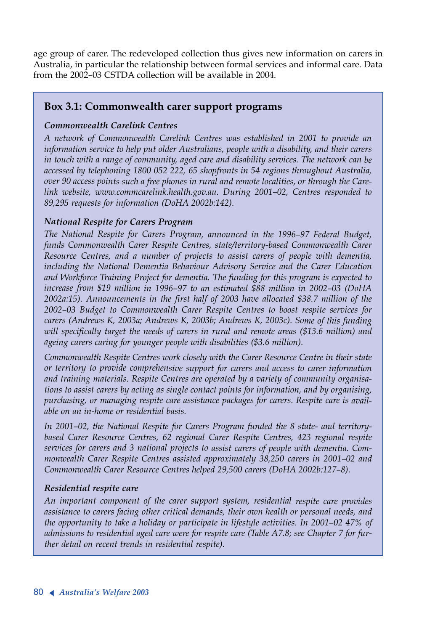age group of carer. The redeveloped collection thus gives new information on carers in Australia, in particular the relationship between formal services and informal care. Data from the 2002–03 CSTDA collection will be available in 2004.

#### **Box 3.1: Commonwealth carer support programs**

#### *Commonwealth Carelink Centres*

*<sup>A</sup> network of Commonwealth Carelink Centres was established in 2001 to provide an information service to help put older Australians, people with a disability, and their carers in touch with a range of community, aged care and disability services. The network can be accessed by telephoning 1800 052 222, 65 shopfronts in 54 regions throughout Australia, over 90 access points such a free phones in rural and remote localities, or through the Carelink website, www.commcarelink.health.gov.au. During 2001–02, Centres responded to 89,295 requests for information (DoHA 2002b:142).*

#### *National Respite for Carers Program*

*The National Respite for Carers Program, announced in the 1996–97 Federal Budget, funds Commonwealth Carer Respite Centres, state/territory-based Commonwealth Carer Resource Centres, and a number of projects to assist carers of people with dementia, including the National Dementia Behaviour Advisory Service and the Carer Education and Workforce Training Project for dementia. The funding for this program is expected to increase from \$19 million in 1996–97 to an estimated \$88 million in 2002–03 (DoHA 2002a:15). Announcements in the first half of 2003 have allocated \$38.7 million of the 2002–03 Budget to Commonwealth Carer Respite Centres to boost respite services for carers (Andrews K, 2003a; Andrews K, 2003b; Andrews K, 2003c). Some of this funding will specifically target the needs of carers in rural and remote areas (\$13.6 million) and ageing carers caring for younger people with disabilities (\$3.6 million).*

*Commonwealth Respite Centres work closely with the Carer Resource Centre in their state or territory to provide comprehensive support for carers and access to carer information and training materials. Respite Centres are operated by a variety of community organisations to assist carers by acting as single contact points for information, and by organising, purchasing, or managing respite care assistance packages for carers. Respite care is available on an in-home or residential basis.* 

*In 2001–02, the National Respite for Carers Program funded the 8 state- and territorybased Carer Resource Centres, 62 regional Carer Respite Centres, 423 regional respite services for carers and 3 national projects to assist carers of people with dementia. Commonwealth Carer Respite Centres assisted approximately 38,250 carers in 2001–02 and Commonwealth Carer Resource Centres helped 29,500 carers (DoHA 2002b:127–8).*

#### *Residential respite care*

*An important component of the carer support system, residential respite care provides assistance to carers facing other critical demands, their own health or personal needs, and the opportunity to take a holiday or participate in lifestyle activities. In 2001–02 47% of admissions to residential aged care were for respite care (Table A7.8; see Chapter 7 for further detail on recent trends in residential respite).*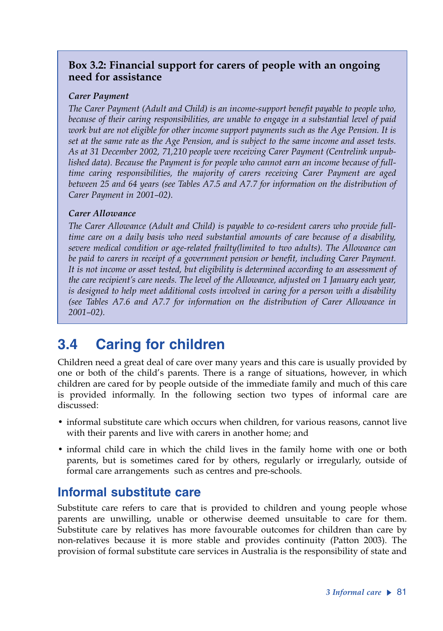### **Box 3.2: Financial support for carers of people with an ongoing need for assistance**

#### *Carer Payment*

*The Carer Payment (Adult and Child) is an income-support benefit payable to people who, because of their caring responsibilities, are unable to engage in a substantial level of paid work but are not eligible for other income support payments such as the Age Pension. It is set at the same rate as the Age Pension, and is subject to the same income and asset tests. As at 31 December 2002, 71,210 people were receiving Carer Payment (Centrelink unpublished data). Because the Payment is for people who cannot earn an income because of fulltime caring responsibilities, the majority of carers receiving Carer Payment are aged between 25 and 64 years (see Tables A7.5 and A7.7 for information on the distribution of Carer Payment in 2001–02).* 

#### *Carer Allowance*

*The Carer Allowance (Adult and Child) is payable to co-resident carers who provide fulltime care on a daily basis who need substantial amounts of care because of a disability, severe medical condition or age-related frailty(limited to two adults). The Allowance can be paid to carers in receipt of a government pension or benefit, including Carer Payment. It is not income or asset tested, but eligibility is determined according to an assessment of the care recipient's care needs. The level of the Allowance, adjusted on 1 January each year, is designed to help meet additional costs involved in caring for a person with a disability (see Tables A7.6 and A7.7 for information on the distribution of Carer Allowance in 2001–02).* 

# **3.4 Caring for children**

Children need a great deal of care over many years and this care is usually provided by one or both of the child's parents. There is a range of situations, however, in which children are cared for by people outside of the immediate family and much of this care is provided informally. In the following section two types of informal care are discussed:

- informal substitute care which occurs when children, for various reasons, cannot live with their parents and live with carers in another home; and
- informal child care in which the child lives in the family home with one or both parents, but is sometimes cared for by others, regularly or irregularly, outside of formal care arrangements such as centres and pre-schools.

### **Informal substitute care**

Substitute care refers to care that is provided to children and young people whose parents are unwilling, unable or otherwise deemed unsuitable to care for them. Substitute care by relatives has more favourable outcomes for children than care by non-relatives because it is more stable and provides continuity (Patton 2003). The provision of formal substitute care services in Australia is the responsibility of state and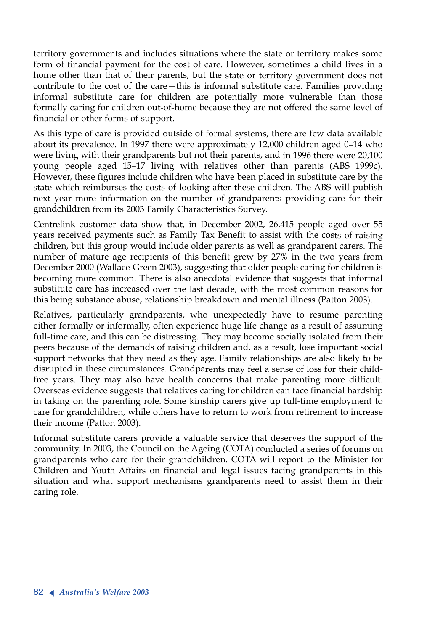territory governments and includes situations where the state or territory makes some form of financial payment for the cost of care. However, sometimes a child lives in a home other than that of their parents, but the state or territory government does not contribute to the cost of the care—this is informal substitute care. Families providing informal substitute care for children are potentially more vulnerable than those formally caring for children out-of-home because they are not offered the same level of financial or other forms of support.

As this type of care is provided outside of formal systems, there are few data available about its prevalence. In 1997 there were approximately 12,000 children aged 0–14 who were living with their grandparents but not their parents, and in 1996 there were 20,100 young people aged 15–17 living with relatives other than parents (ABS 1999c). However, these figures include children who have been placed in substitute care by the state which reimburses the costs of looking after these children. The ABS will publish next year more information on the number of grandparents providing care for their grandchildren from its 2003 Family Characteristics Survey.

Centrelink customer data show that, in December 2002, 26,415 people aged over 55 years received payments such as Family Tax Benefit to assist with the costs of raising children, but this group would include older parents as well as grandparent carers. The number of mature age recipients of this benefit grew by 27% in the two years from December 2000 (Wallace-Green 2003), suggesting that older people caring for children is becoming more common. There is also anecdotal evidence that suggests that informal substitute care has increased over the last decade, with the most common reasons for this being substance abuse, relationship breakdown and mental illness (Patton 2003).

Relatives, particularly grandparents, who unexpectedly have to resume parenting either formally or informally, often experience huge life change as a result of assuming full-time care, and this can be distressing. They may become socially isolated from their peers because of the demands of raising children and, as a result, lose important social support networks that they need as they age. Family relationships are also likely to be disrupted in these circumstances. Grandparents may feel a sense of loss for their childfree years. They may also have health concerns that make parenting more difficult. Overseas evidence suggests that relatives caring for children can face financial hardship in taking on the parenting role. Some kinship carers give up full-time employment to care for grandchildren, while others have to return to work from retirement to increase their income (Patton 2003).

Informal substitute carers provide a valuable service that deserves the support of the community. In 2003, the Council on the Ageing (COTA) conducted a series of forums on grandparents who care for their grandchildren. COTA will report to the Minister for Children and Youth Affairs on financial and legal issues facing grandparents in this situation and what support mechanisms grandparents need to assist them in their caring role.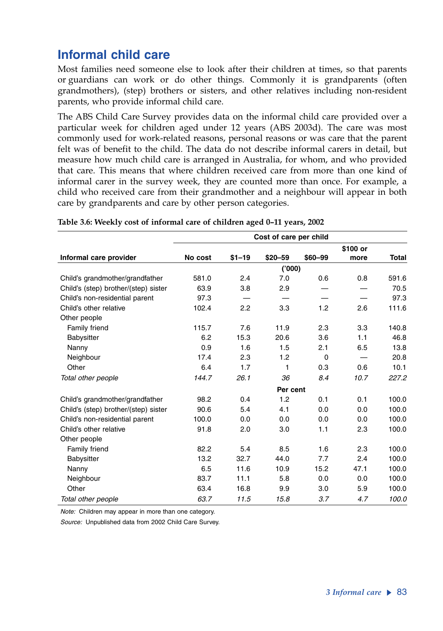# **Informal child care**

Most families need someone else to look after their children at times, so that parents or guardians can work or do other things. Commonly it is grandparents (often grandmothers), (step) brothers or sisters, and other relatives including non-resident parents, who provide informal child care.

The ABS Child Care Survey provides data on the informal child care provided over a particular week for children aged under 12 years (ABS 2003d). The care was most commonly used for work-related reasons, personal reasons or was care that the parent felt was of benefit to the child. The data do not describe informal carers in detail, but measure how much child care is arranged in Australia, for whom, and who provided that care. This means that where children received care from more than one kind of informal carer in the survey week, they are counted more than once. For example, a child who received care from their grandmother and a neighbour will appear in both care by grandparents and care by other person categories.

|                                      |          |           | Cost of care per child |          |          |              |  |  |  |  |  |
|--------------------------------------|----------|-----------|------------------------|----------|----------|--------------|--|--|--|--|--|
|                                      |          |           |                        |          | \$100 or |              |  |  |  |  |  |
| Informal care provider               | No cost  | $$1 - 19$ | $$20 - 59$             | \$60-99  | more     | <b>Total</b> |  |  |  |  |  |
|                                      |          |           | (000)                  |          |          |              |  |  |  |  |  |
| Child's grandmother/grandfather      | 581.0    | 2.4       | 7.0                    | 0.6      | 0.8      | 591.6        |  |  |  |  |  |
| Child's (step) brother/(step) sister | 63.9     | 3.8       | 2.9                    |          |          | 70.5         |  |  |  |  |  |
| Child's non-residential parent       | 97.3     |           |                        |          |          | 97.3         |  |  |  |  |  |
| Child's other relative               | 102.4    | 2.2       | 3.3                    | 1.2      | 2.6      | 111.6        |  |  |  |  |  |
| Other people                         |          |           |                        |          |          |              |  |  |  |  |  |
| Family friend                        | 115.7    | 7.6       | 11.9                   | 2.3      | 3.3      | 140.8        |  |  |  |  |  |
| Babysitter                           | 6.2      | 15.3      | 20.6                   | 3.6      | 1.1      | 46.8         |  |  |  |  |  |
| Nanny                                | 0.9      | 1.6       | 1.5                    | 2.1      | 6.5      | 13.8         |  |  |  |  |  |
| Neighbour                            | 17.4     | 2.3       | 1.2                    | $\Omega$ |          | 20.8         |  |  |  |  |  |
| Other                                | 6.4      | 1.7       | 1                      | 0.3      | 0.6      | 10.1         |  |  |  |  |  |
| Total other people                   | 144.7    | 26.1      | 36                     | 8.4      | 10.7     | 227.2        |  |  |  |  |  |
|                                      | Per cent |           |                        |          |          |              |  |  |  |  |  |
| Child's grandmother/grandfather      | 98.2     | 0.4       | 1.2                    | 0.1      | 0.1      | 100.0        |  |  |  |  |  |
| Child's (step) brother/(step) sister | 90.6     | 5.4       | 4.1                    | 0.0      | 0.0      | 100.0        |  |  |  |  |  |
| Child's non-residential parent       | 100.0    | 0.0       | 0.0                    | 0.0      | 0.0      | 100.0        |  |  |  |  |  |
| Child's other relative               | 91.8     | 2.0       | 3.0                    | 1.1      | 2.3      | 100.0        |  |  |  |  |  |
| Other people                         |          |           |                        |          |          |              |  |  |  |  |  |
| Family friend                        | 82.2     | 5.4       | 8.5                    | 1.6      | 2.3      | 100.0        |  |  |  |  |  |
| Babysitter                           | 13.2     | 32.7      | 44.0                   | 7.7      | 2.4      | 100.0        |  |  |  |  |  |
| Nanny                                | 6.5      | 11.6      | 10.9                   | 15.2     | 47.1     | 100.0        |  |  |  |  |  |
| Neighbour                            | 83.7     | 11.1      | 5.8                    | 0.0      | 0.0      | 100.0        |  |  |  |  |  |
| Other                                | 63.4     | 16.8      | 9.9                    | 3.0      | 5.9      | 100.0        |  |  |  |  |  |
| Total other people                   | 63.7     | 11.5      | 15.8                   | 3.7      | 4.7      | 100.0        |  |  |  |  |  |

**Table 3.6: Weekly cost of informal care of children aged 0–11 years, 2002**

*Note:* Children may appear in more than one category.

*Source:* Unpublished data from 2002 Child Care Survey.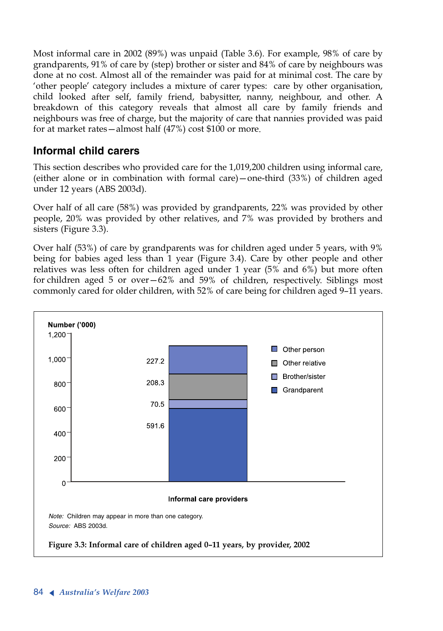Most informal care in 2002 (89%) was unpaid (Table 3.6). For example, 98% of care by grandparents, 91% of care by (step) brother or sister and 84% of care by neighbours was done at no cost. Almost all of the remainder was paid for at minimal cost. The care by 'other people' category includes a mixture of carer types: care by other organisation, child looked after self, family friend, babysitter, nanny, neighbour, and other. A breakdown of this category reveals that almost all care by family friends and neighbours was free of charge, but the majority of care that nannies provided was paid for at market rates—almost half (47%) cost \$100 or more.

### **Informal child carers**

This section describes who provided care for the 1,019,200 children using informal care, (either alone or in combination with formal care)—one-third (33%) of children aged under 12 years (ABS 2003d).

Over half of all care (58%) was provided by grandparents, 22% was provided by other people, 20% was provided by other relatives, and 7% was provided by brothers and sisters (Figure 3.3).

Over half (53%) of care by grandparents was for children aged under 5 years, with 9% being for babies aged less than 1 year (Figure 3.4). Care by other people and other relatives was less often for children aged under 1 year (5% and 6%) but more often for children aged 5 or over—62% and 59% of children, respectively. Siblings most commonly cared for older children, with 52% of care being for children aged 9–11 years.

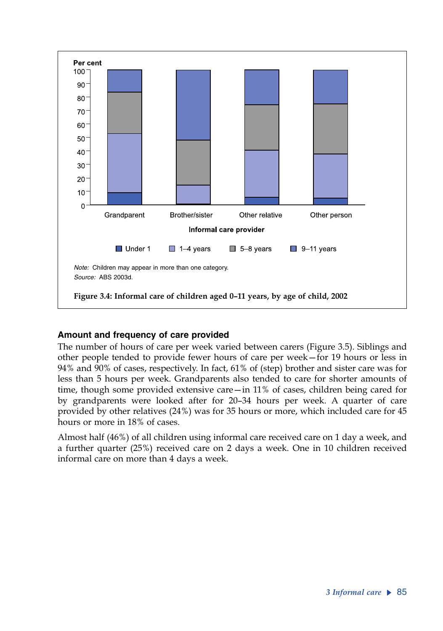

#### **Amount and frequency of care provided**

The number of hours of care per week varied between carers (Figure 3.5). Siblings and other people tended to provide fewer hours of care per week—for 19 hours or less in 94% and 90% of cases, respectively. In fact, 61% of (step) brother and sister care was for less than 5 hours per week. Grandparents also tended to care for shorter amounts of time, though some provided extensive care—in 11% of cases, children being cared for by grandparents were looked after for 20–34 hours per week. A quarter of care provided by other relatives (24%) was for 35 hours or more, which included care for 45 hours or more in 18% of cases.

Almost half (46%) of all children using informal care received care on 1 day a week, and a further quarter (25%) received care on 2 days a week. One in 10 children received informal care on more than 4 days a week.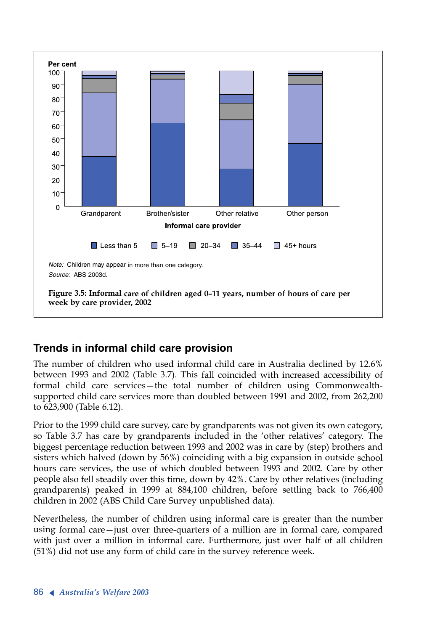

## **Trends in informal child care provision**

The number of children who used informal child care in Australia declined by 12.6% between 1993 and 2002 (Table 3.7). This fall coincided with increased accessibility of formal child care services—the total number of children using Commonwealthsupported child care services more than doubled between 1991 and 2002, from 262,200 to 623,900 (Table 6.12).

Prior to the 1999 child care survey, care by grandparents was not given its own category, so Table 3.7 has care by grandparents included in the 'other relatives' category. The biggest percentage reduction between 1993 and 2002 was in care by (step) brothers and sisters which halved (down by 56%) coinciding with a big expansion in outside school hours care services, the use of which doubled between 1993 and 2002. Care by other people also fell steadily over this time, down by 42%. Care by other relatives (including grandparents) peaked in 1999 at 884,100 children, before settling back to 766,400 children in 2002 (ABS Child Care Survey unpublished data).

Nevertheless, the number of children using informal care is greater than the number using formal care—just over three-quarters of a million are in formal care, compared with just over a million in informal care. Furthermore, just over half of all children (51%) did not use any form of child care in the survey reference week.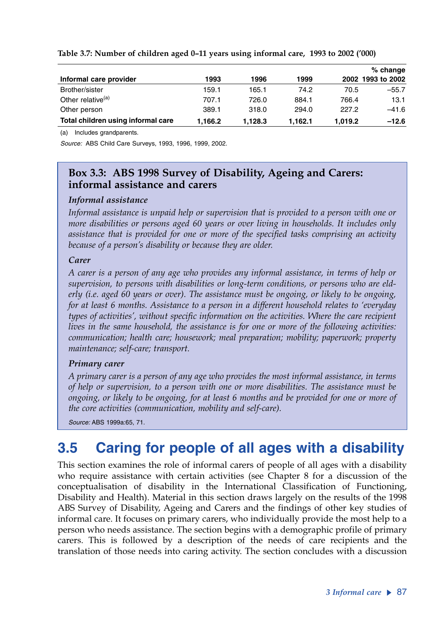|                                    |         |         |         |         | $%$ change        |
|------------------------------------|---------|---------|---------|---------|-------------------|
| Informal care provider             | 1993    | 1996    | 1999    |         | 2002 1993 to 2002 |
| Brother/sister                     | 159.1   | 165.1   | 74.2    | 70.5    | $-55.7$           |
| Other relative <sup>(a)</sup>      | 707.1   | 726.0   | 884.1   | 766.4   | 13.1              |
| Other person                       | 389.1   | 318.0   | 294.0   | 227.2   | $-41.6$           |
| Total children using informal care | 1.166.2 | 1.128.3 | 1.162.1 | 1.019.2 | $-12.6$           |

#### **Table 3.7: Number of children aged 0–11 years using informal care, 1993 to 2002 ('000)**

(a) Includes grandparents.

*Source:* ABS Child Care Surveys, 1993, 1996, 1999, 2002.

#### **Box 3.3: ABS 1998 Survey of Disability, Ageing and Carers: informal assistance and carers**

#### *Informal assistance*

*Informal assistance is unpaid help or supervision that is provided to a person with one or more disabilities or persons aged 60 years or over living in households. It includes only assistance that is provided for one or more of the specified tasks comprising an activity because of a person's disability or because they are older.* 

#### *Carer*

*A carer is a person of any age who provides any informal assistance, in terms of help or supervision, to persons with disabilities or long-term conditions, or persons who are elderly (i.e. aged 60 years or over). The assistance must be ongoing, or likely to be ongoing, for at least 6 months. Assistance to a person in a different household relates to 'everyday types of activities', without specific information on the activities. Where the care recipient lives in the same household, the assistance is for one or more of the following activities: communication; health care; housework; meal preparation; mobility; paperwork; property maintenance; self-care; transport.* 

#### *Primary carer*

*A primary carer is a person of any age who provides the most informal assistance, in terms of help or supervision, to a person with one or more disabilities. The assistance must be ongoing, or likely to be ongoing, for at least 6 months and be provided for one or more of the core activities (communication, mobility and self-care).* 

*Source:* ABS 1999a:65, 71.

# **3.5 Caring for people of all ages with a disability**

This section examines the role of informal carers of people of all ages with a disability who require assistance with certain activities (see Chapter 8 for a discussion of the conceptualisation of disability in the International Classification of Functioning, Disability and Health). Material in this section draws largely on the results of the 1998 ABS Survey of Disability, Ageing and Carers and the findings of other key studies of informal care. It focuses on primary carers, who individually provide the most help to a person who needs assistance. The section begins with a demographic profile of primary carers. This is followed by a description of the needs of care recipients and the translation of those needs into caring activity. The section concludes with a discussion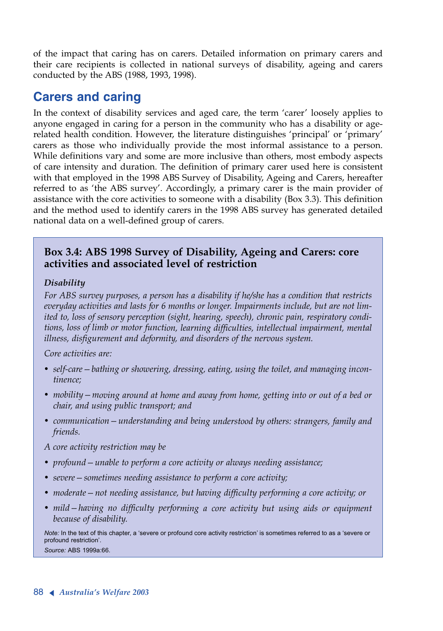of the impact that caring has on carers. Detailed information on primary carers and their care recipients is collected in national surveys of disability, ageing and carers conducted by the ABS (1988, 1993, 1998).

# **Carers and caring**

In the context of disability services and aged care, the term 'carer' loosely applies to anyone engaged in caring for a person in the community who has a disability or agerelated health condition. However, the literature distinguishes 'principal' or 'primary' carers as those who individually provide the most informal assistance to a person. While definitions vary and some are more inclusive than others, most embody aspects of care intensity and duration. The definition of primary carer used here is consistent with that employed in the 1998 ABS Survey of Disability, Ageing and Carers, hereafter referred to as 'the ABS survey'. Accordingly, a primary carer is the main provider of assistance with the core activities to someone with a disability (Box 3.3). This definition and the method used to identify carers in the 1998 ABS survey has generated detailed national data on a well-defined group of carers.

#### **Box 3.4: ABS 1998 Survey of Disability, Ageing and Carers: core activities and associated level of restriction**

#### *Disability*

*For ABS survey purposes, a person has a disability if he/she has a condition that restricts everyday activities and lasts for 6 months or longer. Impairments include, but are not limited to, loss of sensory perception (sight, hearing, speech), chronic pain, respiratory conditions, loss of limb or motor function, learning difficulties, intellectual impairment, mental illness, disfigurement and deformity, and disorders of the nervous system.*

*Core activities are:*

- *• self-care—bathing or showering, dressing, eating, using the toilet, and managing incontinence;*
- *• mobility—moving around at home and away from home, getting into or out of a bed or chair, and using public transport; and*
- *• communication—understanding and being understood by others: strangers, family and friends.*

*<sup>A</sup> core activity restriction may be* 

- *• profound—unable to perform a core activity or always needing assistance;*
- *• severe—sometimes needing assistance to perform a core activity;*
- *• moderate—not needing assistance, but having difficulty performing a core activity; or*
- *• mild—having no difficulty performing a core activity but using aids or equipment because of disability.*

Note: In the text of this chapter, a 'severe or profound core activity restriction' is sometimes referred to as a 'severe or profound restriction'. Source: ABS 1999a:66.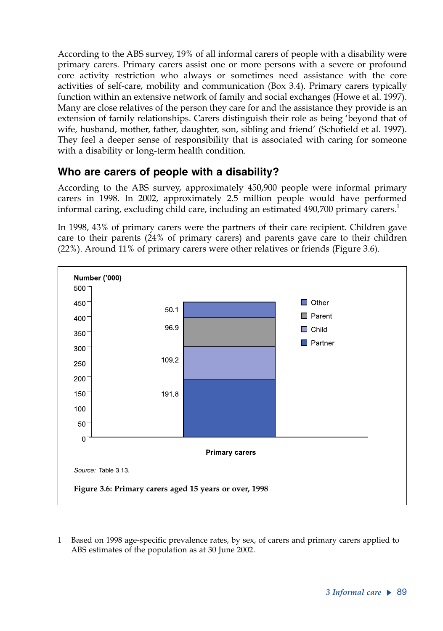According to the ABS survey, 19% of all informal carers of people with a disability were primary carers. Primary carers assist one or more persons with a severe or profound core activity restriction who always or sometimes need assistance with the core activities of self-care, mobility and communication (Box 3.4). Primary carers typically function within an extensive network of family and social exchanges (Howe et al. 1997). Many are close relatives of the person they care for and the assistance they provide is an extension of family relationships. Carers distinguish their role as being 'beyond that of wife, husband, mother, father, daughter, son, sibling and friend' (Schofield et al. 1997). They feel a deeper sense of responsibility that is associated with caring for someone with a disability or long-term health condition.

### **Who are carers of people with a disability?**

According to the ABS survey, approximately 450,900 people were informal primary carers in 1998. In 2002, approximately 2.5 million people would have performed informal caring, excluding child care, including an estimated  $490,700$  primary carers.<sup>1</sup>

In 1998, 43% of primary carers were the partners of their care recipient. Children gave care to their parents (24% of primary carers) and parents gave care to their children (22%). Around 11% of primary carers were other relatives or friends (Figure 3.6).



<sup>1</sup> Based on 1998 age-specific prevalence rates, by sex, of carers and primary carers applied to ABS estimates of the population as at 30 June 2002.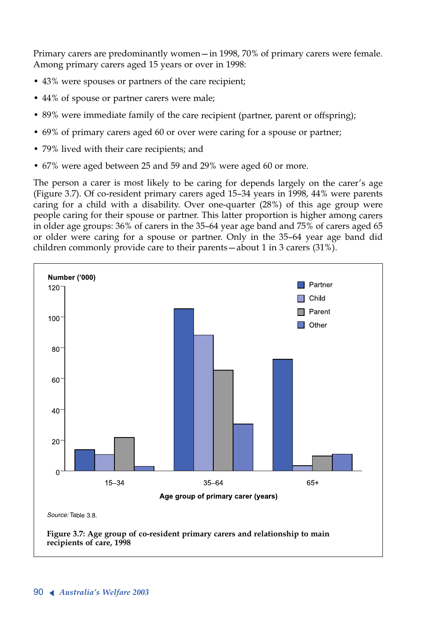Primary carers are predominantly women—in 1998, 70% of primary carers were female. Among primary carers aged 15 years or over in 1998:

- 43% were spouses or partners of the care recipient;
- 44% of spouse or partner carers were male;
- 89% were immediate family of the care recipient (partner, parent or offspring);
- 69% of primary carers aged 60 or over were caring for a spouse or partner;
- 79% lived with their care recipients; and
- 67% were aged between 25 and 59 and 29% were aged 60 or more.

The person a carer is most likely to be caring for depends largely on the carer's age (Figure 3.7). Of co-resident primary carers aged 15–34 years in 1998, 44% were parents caring for a child with a disability. Over one-quarter (28%) of this age group were people caring for their spouse or partner. This latter proportion is higher among carers in older age groups: 36% of carers in the 35–64 year age band and 75% of carers aged 65 or older were caring for a spouse or partner. Only in the 35–64 year age band did children commonly provide care to their parents—about 1 in 3 carers (31%).

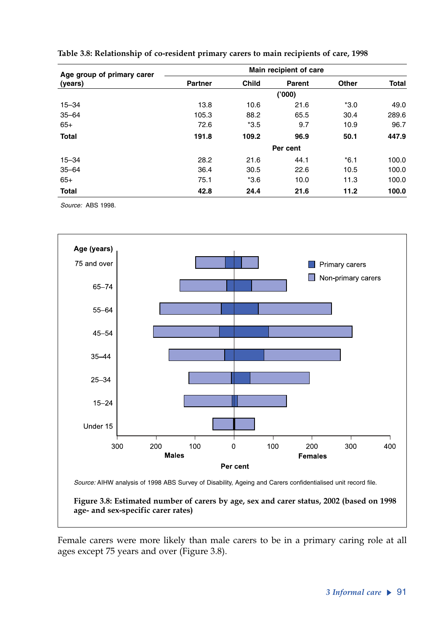| Age group of primary carer | Main recipient of care |              |          |        |              |  |  |  |  |
|----------------------------|------------------------|--------------|----------|--------|--------------|--|--|--|--|
| (years)                    | <b>Partner</b>         | <b>Child</b> | Parent   | Other  | <b>Total</b> |  |  |  |  |
|                            |                        |              | ('000)   |        |              |  |  |  |  |
| $15 - 34$                  | 13.8                   | 10.6         | 21.6     | $*3.0$ | 49.0         |  |  |  |  |
| $35 - 64$                  | 105.3                  | 88.2         | 65.5     | 30.4   | 289.6        |  |  |  |  |
| $65+$                      | 72.6                   | $*3.5$       | 9.7      | 10.9   | 96.7         |  |  |  |  |
| <b>Total</b>               | 191.8                  | 109.2        | 96.9     | 50.1   | 447.9        |  |  |  |  |
|                            |                        |              | Per cent |        |              |  |  |  |  |
| $15 - 34$                  | 28.2                   | 21.6         | 44.1     | $*6.1$ | 100.0        |  |  |  |  |
| $35 - 64$                  | 36.4                   | 30.5         | 22.6     | 10.5   | 100.0        |  |  |  |  |
| $65+$                      | 75.1                   | $*3.6$       | 10.0     | 11.3   | 100.0        |  |  |  |  |
| <b>Total</b>               | 42.8                   | 24.4         | 21.6     | 11.2   | 100.0        |  |  |  |  |



*Source:* ABS 1998.



**Figure 3.8: Estimated number of carers by age, sex and carer status, 2002 (based on 1998 age- and sex-specific carer rates)**

Female carers were more likely than male carers to be in a primary caring role at all ages except 75 years and over (Figure 3.8).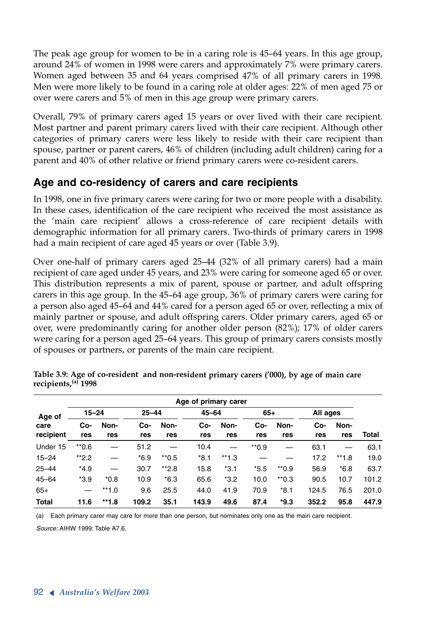The peak age group for women to be in a caring role is 45–64 years. In this age group, around 24% of women in 1998 were carers and approximately 7% were primary carers. Women aged between 35 and 64 years comprised 47% of all primary carers in 1998. Men were more likely to be found in a caring role at older ages: 22% of men aged 75 or over were carers and 5% of men in this age group were primary carers.

Overall, 79% of primary carers aged 15 years or over lived with their care recipient. Most partner and parent primary carers lived with their care recipient. Although other categories of primary carers were less likely to reside with their care recipient than spouse, partner or parent carers, 46% of children (including adult children) caring for a parent and 40% of other relative or friend primary carers were co-resident carers.

### **Age and co-residency of carers and care recipients**

In 1998, one in five primary carers were caring for two or more people with a disability. In these cases, identification of the care recipient who received the most assistance as the 'main care recipient' allows a cross-reference of care recipient details with demographic information for all primary carers. Two-thirds of primary carers in 1998 had a main recipient of care aged 45 years or over (Table 3.9).

Over one-half of primary carers aged 25–44 (32% of all primary carers) had a main recipient of care aged under 45 years, and 23% were caring for someone aged 65 or over. This distribution represents a mix of parent, spouse or partner, and adult offspring carers in this age group. In the 45–64 age group, 36% of primary carers were caring for a person also aged 45–64 and 44% cared for a person aged 65 or over, reflecting a mix of mainly partner or spouse, and adult offspring carers. Older primary carers, aged 65 or over, were predominantly caring for another older person (82%); 17% of older carers were caring for a person aged 25–64 years. This group of primary carers consists mostly of spouses or partners, or parents of the main care recipient.

|                   |            |             |            |                    | Age of primary carer |             |            |                    |            |             |       |
|-------------------|------------|-------------|------------|--------------------|----------------------|-------------|------------|--------------------|------------|-------------|-------|
| Age of            | $15 - 24$  |             | $25 - 44$  |                    | $45 - 64$            |             | $65+$      |                    | All ages   |             |       |
| care<br>recipient | Co-<br>res | Non-<br>res | Co-<br>res | Non-<br>res        | Co-<br>res           | Non-<br>res | Co-<br>res | Non-<br>res        | Co-<br>res | Non-<br>res | Total |
|                   |            |             |            |                    |                      |             |            |                    |            |             |       |
| Under 15          | $*0.6$     |             | 51.2       |                    | 10.4                 |             | $*$ 0.9    |                    | 63.1       |             | 63.1  |
| $15 - 24$         | $*2.2$     |             | $*6.9$     | $*$ <sup>0.5</sup> | $*8.1$               | $*1.3$      |            |                    | 17.2       | $**1.8$     | 19.0  |
| $25 - 44$         | $*4.9$     |             | 30.7       | $*2.8$             | 15.8                 | $*3.1$      | $*5.5$     | $*$ 0.9            | 56.9       | $*6.8$      | 63.7  |
| $45 - 64$         | $*3.9$     | $*0.8$      | 10.9       | $*6.3$             | 65.6                 | $*3.2$      | 10.0       | $*$ <sup>0.3</sup> | 90.5       | 10.7        | 101.2 |
| $65+$             |            | $*1.0$      | 9.6        | 25.5               | 44.0                 | 41.9        | 70.9       | $*8.1$             | 124.5      | 76.5        | 201.0 |
| <b>Total</b>      | 11.6       | $*1.8$      | 109.2      | 35.1               | 143.9                | 49.6        | 87.4       | $*9.3$             | 352.2      | 95.8        | 447.9 |

**Table 3.9: Age of co-resident and non-resident primary carers ('000), by age of main care recipients,(a) <sup>1998</sup>**

(a) Each primary carer may care for more than one person, but nominates only one as the main care recipient.

*Source:* AIHW 1999: Table A7.6.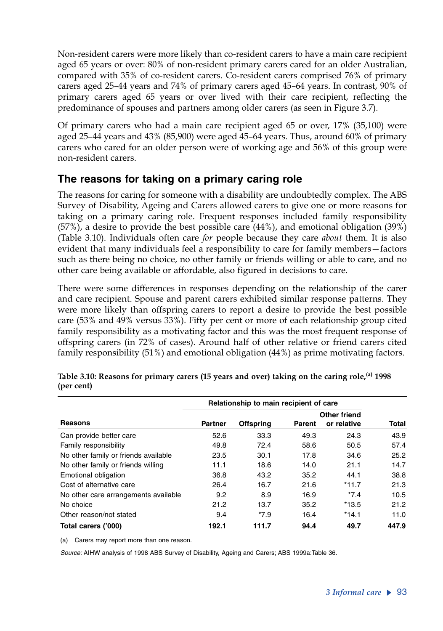Non-resident carers were more likely than co-resident carers to have a main care recipient aged 65 years or over: 80% of non-resident primary carers cared for an older Australian, compared with 35% of co-resident carers. Co-resident carers comprised 76% of primary carers aged 25–44 years and 74% of primary carers aged 45–64 years. In contrast, 90% of primary carers aged 65 years or over lived with their care recipient, reflecting the predominance of spouses and partners among older carers (as seen in Figure 3.7).

Of primary carers who had a main care recipient aged 65 or over, 17% (35,100) were aged 25–44 years and 43% (85,900) were aged 45–64 years. Thus, around 60% of primary carers who cared for an older person were of working age and 56% of this group were non-resident carers.

### **The reasons for taking on a primary caring role**

The reasons for caring for someone with a disability are undoubtedly complex. The ABS Survey of Disability, Ageing and Carers allowed carers to give one or more reasons for taking on a primary caring role. Frequent responses included family responsibility (57%), a desire to provide the best possible care (44%), and emotional obligation (39%) (Table 3.10). Individuals often care *for* people because they care *about* them. It is also evident that many individuals feel a responsibility to care for family members—factors such as there being no choice, no other family or friends willing or able to care, and no other care being available or affordable, also figured in decisions to care.

There were some differences in responses depending on the relationship of the carer and care recipient. Spouse and parent carers exhibited similar response patterns. They were more likely than offspring carers to report a desire to provide the best possible care (53% and 49% versus 33%). Fifty per cent or more of each relationship group cited family responsibility as a motivating factor and this was the most frequent response of offspring carers (in 72% of cases). Around half of other relative or friend carers cited family responsibility (51%) and emotional obligation (44%) as prime motivating factors.

|                                      | Relationship to main recipient of care |                  |        |              |              |  |  |
|--------------------------------------|----------------------------------------|------------------|--------|--------------|--------------|--|--|
|                                      |                                        |                  |        | Other friend |              |  |  |
| Reasons                              | Partner                                | <b>Offspring</b> | Parent | or relative  | <b>Total</b> |  |  |
| Can provide better care              | 52.6                                   | 33.3             | 49.3   | 24.3         | 43.9         |  |  |
| Family responsibility                | 49.8                                   | 72.4             | 58.6   | 50.5         | 57.4         |  |  |
| No other family or friends available | 23.5                                   | 30.1             | 17.8   | 34.6         | 25.2         |  |  |
| No other family or friends willing   | 11.1                                   | 18.6             | 14.0   | 21.1         | 14.7         |  |  |
| Emotional obligation                 | 36.8                                   | 43.2             | 35.2   | 44.1         | 38.8         |  |  |
| Cost of alternative care             | 26.4                                   | 16.7             | 21.6   | $*11.7$      | 21.3         |  |  |
| No other care arrangements available | 9.2                                    | 8.9              | 16.9   | $*7.4$       | 10.5         |  |  |
| No choice                            | 21.2                                   | 13.7             | 35.2   | $*13.5$      | 21.2         |  |  |
| Other reason/not stated              | 9.4                                    | $*7.9$           | 16.4   | $*14.1$      | 11.0         |  |  |
| Total carers ('000)                  | 192.1                                  | 111.7            | 94.4   | 49.7         | 447.9        |  |  |

| Table 3.10: Reasons for primary carers (15 years and over) taking on the caring role, <sup>(a)</sup> 1998 |  |  |
|-----------------------------------------------------------------------------------------------------------|--|--|
| (per cent)                                                                                                |  |  |

(a) Carers may report more than one reason.

*Source:* AIHW analysis of 1998 ABS Survey of Disability, Ageing and Carers; ABS 1999a:Table 36.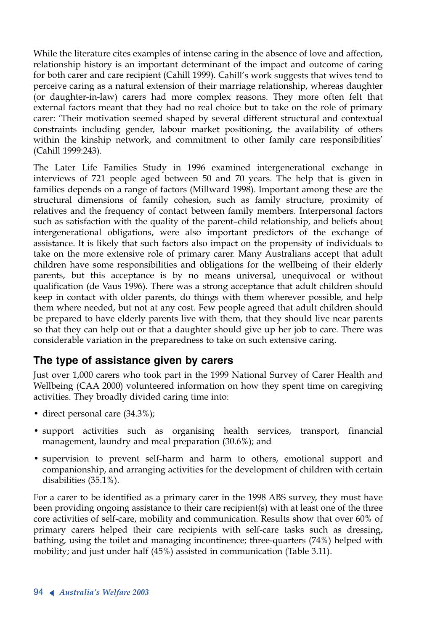While the literature cites examples of intense caring in the absence of love and affection, relationship history is an important determinant of the impact and outcome of caring for both carer and care recipient (Cahill 1999). Cahill's work suggests that wives tend to perceive caring as a natural extension of their marriage relationship, whereas daughter (or daughter-in-law) carers had more complex reasons. They more often felt that external factors meant that they had no real choice but to take on the role of primary carer: 'Their motivation seemed shaped by several different structural and contextual constraints including gender, labour market positioning, the availability of others within the kinship network, and commitment to other family care responsibilities' (Cahill 1999:243).

The Later Life Families Study in 1996 examined intergenerational exchange in interviews of 721 people aged between 50 and 70 years. The help that is given in families depends on a range of factors (Millward 1998). Important among these are the structural dimensions of family cohesion, such as family structure, proximity of relatives and the frequency of contact between family members. Interpersonal factors such as satisfaction with the quality of the parent–child relationship, and beliefs about intergenerational obligations, were also important predictors of the exchange of assistance. It is likely that such factors also impact on the propensity of individuals to take on the more extensive role of primary carer. Many Australians accept that adult children have some responsibilities and obligations for the wellbeing of their elderly parents, but this acceptance is by no means universal, unequivocal or without qualification (de Vaus 1996). There was a strong acceptance that adult children should keep in contact with older parents, do things with them wherever possible, and help them where needed, but not at any cost. Few people agreed that adult children should be prepared to have elderly parents live with them, that they should live near parents so that they can help out or that a daughter should give up her job to care. There was considerable variation in the preparedness to take on such extensive caring.

### **The type of assistance given by carers**

Just over 1,000 carers who took part in the 1999 National Survey of Carer Health and Wellbeing (CAA 2000) volunteered information on how they spent time on caregiving activities. They broadly divided caring time into:

- direct personal care (34.3%);
- support activities such as organising health services, transport, financial management, laundry and meal preparation (30.6%); and
- supervision to prevent self-harm and harm to others, emotional support and companionship, and arranging activities for the development of children with certain disabilities (35.1%).

For a carer to be identified as a primary carer in the 1998 ABS survey, they must have been providing ongoing assistance to their care recipient(s) with at least one of the three core activities of self-care, mobility and communication. Results show that over 60% of primary carers helped their care recipients with self-care tasks such as dressing, bathing, using the toilet and managing incontinence; three-quarters (74%) helped with mobility; and just under half (45%) assisted in communication (Table 3.11).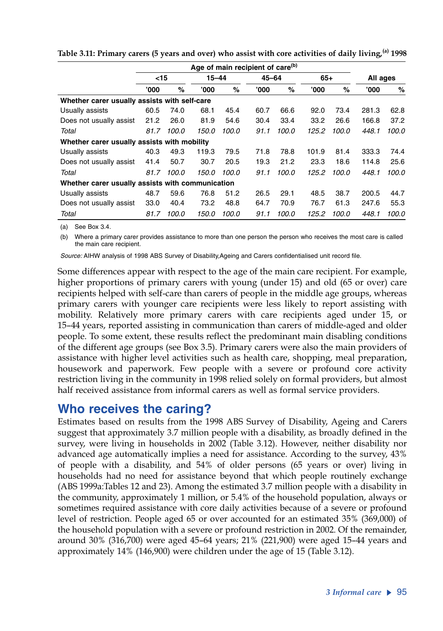|                                                  | Age of main recipient of care <sup>(b)</sup> |       |       |           |       |       |       |       |       |          |  |
|--------------------------------------------------|----------------------------------------------|-------|-------|-----------|-------|-------|-------|-------|-------|----------|--|
|                                                  | $<$ 15                                       |       |       | $15 - 44$ |       | 45-64 |       | $65+$ |       | All ages |  |
|                                                  | '000                                         | %     | '000  | $\%$      | '000' | %     | '000  | %     | '000' | %        |  |
| Whether carer usually assists with self-care     |                                              |       |       |           |       |       |       |       |       |          |  |
| Usually assists                                  | 60.5                                         | 74.0  | 68.1  | 45.4      | 60.7  | 66.6  | 92.0  | 73.4  | 281.3 | 62.8     |  |
| Does not usually assist                          | 21.2                                         | 26.0  | 81.9  | 54.6      | 30.4  | 33.4  | 33.2  | 26.6  | 166.8 | 37.2     |  |
| Total                                            | 81.7                                         | 100.0 | 150.0 | 100.0     | 91.1  | 100.0 | 125.2 | 100.0 | 448.1 | 100.0    |  |
| Whether carer usually assists with mobility      |                                              |       |       |           |       |       |       |       |       |          |  |
| Usually assists                                  | 40.3                                         | 49.3  | 119.3 | 79.5      | 71.8  | 78.8  | 101.9 | 81.4  | 333.3 | 74.4     |  |
| Does not usually assist                          | 41.4                                         | 50.7  | 30.7  | 20.5      | 19.3  | 21.2  | 23.3  | 18.6  | 114.8 | 25.6     |  |
| Total                                            | 81.7                                         | 100.0 | 150.0 | 100.0     | 91.1  | 100.0 | 125.2 | 100.0 | 448.1 | 100.0    |  |
| Whether carer usually assists with communication |                                              |       |       |           |       |       |       |       |       |          |  |
| Usually assists                                  | 48.7                                         | 59.6  | 76.8  | 51.2      | 26.5  | 29.1  | 48.5  | 38.7  | 200.5 | 44.7     |  |
| Does not usually assist                          | 33.0                                         | 40.4  | 73.2  | 48.8      | 64.7  | 70.9  | 76.7  | 61.3  | 247.6 | 55.3     |  |
| Total                                            | 81.7                                         | 100.0 | 150.0 | 100.0     | 91.1  | 100.0 | 125.2 | 100.0 | 448.1 | 100.0    |  |

**Table 3.11: Primary carers (5 years and over) who assist with core activities of daily living,(a) 1998**

(a) See Box 3.4.

(b) Where a primary carer provides assistance to more than one person the person who receives the most care is called the main care recipient.

*Source:* AIHW analysis of 1998 ABS Survey of Disability,Ageing and Carers confidentialised unit record file.

Some differences appear with respect to the age of the main care recipient. For example, higher proportions of primary carers with young (under 15) and old (65 or over) care recipients helped with self-care than carers of people in the middle age groups, whereas primary carers with younger care recipients were less likely to report assisting with mobility. Relatively more primary carers with care recipients aged under 15, or 15–44 years, reported assisting in communication than carers of middle-aged and older people. To some extent, these results reflect the predominant main disabling conditions of the different age groups (see Box 3.5). Primary carers were also the main providers of assistance with higher level activities such as health care, shopping, meal preparation, housework and paperwork. Few people with a severe or profound core activity restriction living in the community in 1998 relied solely on formal providers, but almost half received assistance from informal carers as well as formal service providers.

### **Who receives the caring?**

Estimates based on results from the 1998 ABS Survey of Disability, Ageing and Carers suggest that approximately 3.7 million people with a disability, as broadly defined in the survey, were living in households in 2002 (Table 3.12). However, neither disability nor advanced age automatically implies a need for assistance. According to the survey, 43% of people with a disability, and 54% of older persons (65 years or over) living in households had no need for assistance beyond that which people routinely exchange (ABS 1999a:Tables 12 and 23). Among the estimated 3.7 million people with a disability in the community, approximately 1 million, or 5.4% of the household population, always or sometimes required assistance with core daily activities because of a severe or profound level of restriction. People aged 65 or over accounted for an estimated 35% (369,000) of the household population with a severe or profound restriction in 2002. Of the remainder, around 30% (316,700) were aged 45–64 years; 21% (221,900) were aged 15–44 years and approximately 14% (146,900) were children under the age of 15 (Table 3.12).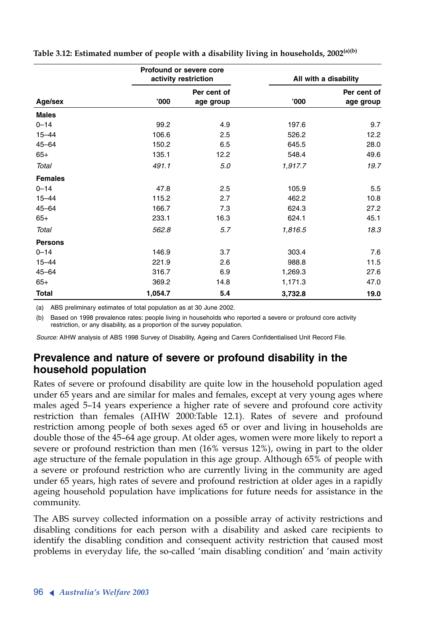|                |         | Profound or severe core<br>activity restriction |         | All with a disability    |
|----------------|---------|-------------------------------------------------|---------|--------------------------|
| Age/sex        | '000    | Per cent of<br>age group                        | '000    | Per cent of<br>age group |
| <b>Males</b>   |         |                                                 |         |                          |
| $0 - 14$       | 99.2    | 4.9                                             | 197.6   | 9.7                      |
| $15 - 44$      | 106.6   | 2.5                                             | 526.2   | 12.2                     |
| $45 - 64$      | 150.2   | 6.5                                             | 645.5   | 28.0                     |
| $65+$          | 135.1   | 12.2                                            | 548.4   | 49.6                     |
| Total          | 491.1   | 5.0                                             | 1,917.7 | 19.7                     |
| <b>Females</b> |         |                                                 |         |                          |
| $0 - 14$       | 47.8    | 2.5                                             | 105.9   | 5.5                      |
| $15 - 44$      | 115.2   | 2.7                                             | 462.2   | 10.8                     |
| $45 - 64$      | 166.7   | 7.3                                             | 624.3   | 27.2                     |
| $65+$          | 233.1   | 16.3                                            | 624.1   | 45.1                     |
| Total          | 562.8   | 5.7                                             | 1,816.5 | 18.3                     |
| <b>Persons</b> |         |                                                 |         |                          |
| $0 - 14$       | 146.9   | 3.7                                             | 303.4   | 7.6                      |
| $15 - 44$      | 221.9   | 2.6                                             | 988.8   | 11.5                     |
| $45 - 64$      | 316.7   | 6.9                                             | 1,269.3 | 27.6                     |
| $65+$          | 369.2   | 14.8                                            | 1,171.3 | 47.0                     |
| <b>Total</b>   | 1,054.7 | 5.4                                             | 3,732.8 | 19.0                     |

**Table 3.12: Estimated number of people with a disability living in households, 2002(a)(b)**

(a) ABS preliminary estimates of total population as at 30 June 2002.

(b) Based on 1998 prevalence rates: people living in households who reported a severe or profound core activity restriction, or any disability, as a proportion of the survey population.

*Source:* AIHW analysis of ABS 1998 Survey of Disability, Ageing and Carers Confidentialised Unit Record File.

### **Prevalence and nature of severe or profound disability in the household population**

Rates of severe or profound disability are quite low in the household population aged under 65 years and are similar for males and females, except at very young ages where males aged 5–14 years experience a higher rate of severe and profound core activity restriction than females (AIHW 2000:Table 12.1). Rates of severe and profound restriction among people of both sexes aged 65 or over and living in households are double those of the 45–64 age group. At older ages, women were more likely to report a severe or profound restriction than men (16% versus 12%), owing in part to the older age structure of the female population in this age group. Although 65% of people with a severe or profound restriction who are currently living in the community are aged under 65 years, high rates of severe and profound restriction at older ages in a rapidly ageing household population have implications for future needs for assistance in the community.

The ABS survey collected information on a possible array of activity restrictions and disabling conditions for each person with a disability and asked care recipients to identify the disabling condition and consequent activity restriction that caused most problems in everyday life, the so-called 'main disabling condition' and 'main activity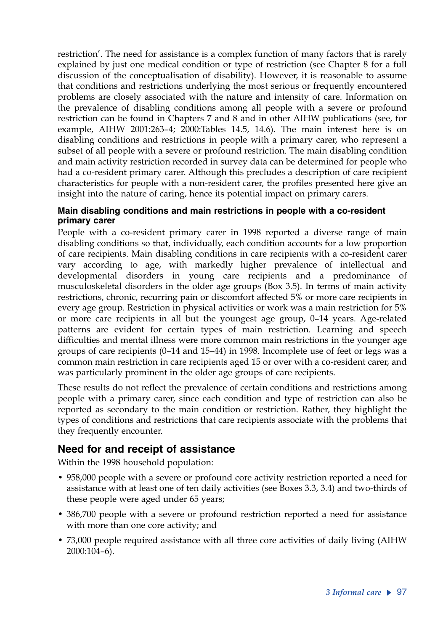restriction'. The need for assistance is a complex function of many factors that is rarely explained by just one medical condition or type of restriction (see Chapter 8 for a full discussion of the conceptualisation of disability). However, it is reasonable to assume that conditions and restrictions underlying the most serious or frequently encountered problems are closely associated with the nature and intensity of care. Information on the prevalence of disabling conditions among all people with a severe or profound restriction can be found in Chapters 7 and 8 and in other AIHW publications (see, for example, AIHW 2001:263–4; 2000:Tables 14.5, 14.6). The main interest here is on disabling conditions and restrictions in people with a primary carer, who represent a subset of all people with a severe or profound restriction. The main disabling condition and main activity restriction recorded in survey data can be determined for people who had a co-resident primary carer. Although this precludes a description of care recipient characteristics for people with a non-resident carer, the profiles presented here give an insight into the nature of caring, hence its potential impact on primary carers.

#### **Main disabling conditions and main restrictions in people with a co-resident primary carer**

People with a co-resident primary carer in 1998 reported a diverse range of main disabling conditions so that, individually, each condition accounts for a low proportion of care recipients. Main disabling conditions in care recipients with a co-resident carer vary according to age, with markedly higher prevalence of intellectual and developmental disorders in young care recipients and a predominance of musculoskeletal disorders in the older age groups (Box 3.5). In terms of main activity restrictions, chronic, recurring pain or discomfort affected 5% or more care recipients in every age group. Restriction in physical activities or work was a main restriction for 5% or more care recipients in all but the youngest age group, 0–14 years. Age-related patterns are evident for certain types of main restriction. Learning and speech difficulties and mental illness were more common main restrictions in the younger age groups of care recipients (0–14 and 15–44) in 1998. Incomplete use of feet or legs was a common main restriction in care recipients aged 15 or over with a co-resident carer, and was particularly prominent in the older age groups of care recipients.

These results do not reflect the prevalence of certain conditions and restrictions among people with a primary carer, since each condition and type of restriction can also be reported as secondary to the main condition or restriction. Rather, they highlight the types of conditions and restrictions that care recipients associate with the problems that they frequently encounter.

### **Need for and receipt of assistance**

Within the 1998 household population:

- 958,000 people with a severe or profound core activity restriction reported a need for assistance with at least one of ten daily activities (see Boxes 3.3, 3.4) and two-thirds of these people were aged under 65 years;
- 386,700 people with a severe or profound restriction reported a need for assistance with more than one core activity; and
- 73,000 people required assistance with all three core activities of daily living (AIHW 2000:104–6).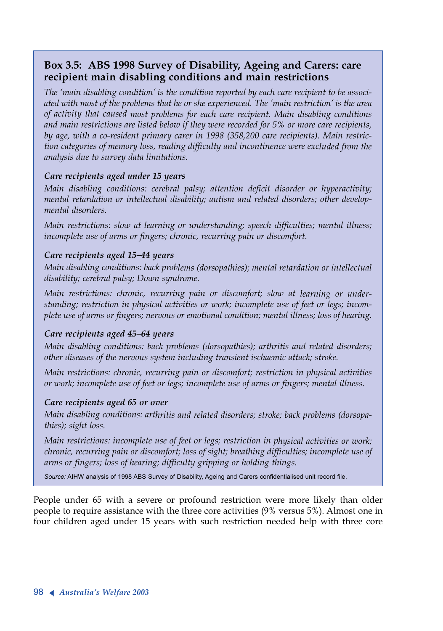### **Box 3.5: ABS 1998 Survey of Disability, Ageing and Carers: care recipient main disabling conditions and main restrictions**

*The 'main disabling condition' is the condition reported by each care recipient to be associated with most of the problems that he or she experienced. The 'main restriction' is the area of activity that caused most problems for each care recipient. Main disabling conditions and main restrictions are listed below if they were recorded for 5% or more care recipients, by age, with a co-resident primary carer in 1998 (358,200 care recipients). Main restriction categories of memory loss, reading difficulty and incontinence were excluded from the analysis due to survey data limitations.* 

#### *Care recipients aged under 15 years*

*Main disabling conditions: cerebral palsy; attention deficit disorder or hyperactivity; mental retardation or intellectual disability; autism and related disorders; other developmental disorders.*

*Main restrictions: slow at learning or understanding; speech difficulties; mental illness; incomplete use of arms or fingers; chronic, recurring pain or discomfort.* 

#### *Care recipients aged 15–44 years*

*Main disabling conditions: back problems (dorsopathies); mental retardation or intellectual disability; cerebral palsy; Down syndrome.*

*Main restrictions: chronic, recurring pain or discomfort; slow at learning or understanding; restriction in physical activities or work; incomplete use of feet or legs; incomplete use of arms or fingers; nervous or emotional condition; mental illness; loss of hearing.*

#### *Care recipients aged 45–64 years*

*Main disabling conditions: back problems (dorsopathies); arthritis and related disorders; other diseases of the nervous system including transient ischaemic attack; stroke.* 

*Main restrictions: chronic, recurring pain or discomfort; restriction in physical activities or work; incomplete use of feet or legs; incomplete use of arms or fingers; mental illness.*

#### *Care recipients aged 65 or over*

*Main disabling conditions: arthritis and related disorders; stroke; back problems (dorsopathies); sight loss.*

*Main restrictions: incomplete use of feet or legs; restriction in physical activities or work; chronic, recurring pain or discomfort; loss of sight; breathing difficulties; incomplete use of arms or fingers; loss of hearing; difficulty gripping or holding things.* 

Source: AIHW analysis of 1998 ABS Survey of Disability, Ageing and Carers confidentialised unit record file.

People under 65 with a severe or profound restriction were more likely than older people to require assistance with the three core activities (9% versus 5%). Almost one in four children aged under 15 years with such restriction needed help with three core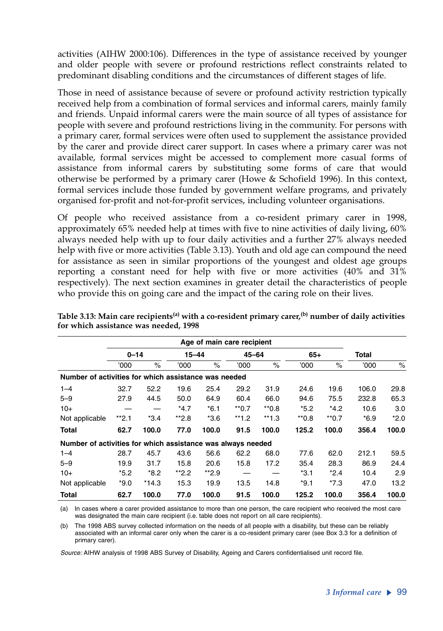activities (AIHW 2000:106). Differences in the type of assistance received by younger and older people with severe or profound restrictions reflect constraints related to predominant disabling conditions and the circumstances of different stages of life.

Those in need of assistance because of severe or profound activity restriction typically received help from a combination of formal services and informal carers, mainly family and friends. Unpaid informal carers were the main source of all types of assistance for people with severe and profound restrictions living in the community. For persons with a primary carer, formal services were often used to supplement the assistance provided by the carer and provide direct carer support. In cases where a primary carer was not available, formal services might be accessed to complement more casual forms of assistance from informal carers by substituting some forms of care that would otherwise be performed by a primary carer (Howe & Schofield 1996). In this context, formal services include those funded by government welfare programs, and privately organised for-profit and not-for-profit services, including volunteer organisations.

Of people who received assistance from a co-resident primary carer in 1998, approximately 65% needed help at times with five to nine activities of daily living, 60% always needed help with up to four daily activities and a further 27% always needed help with five or more activities (Table 3.13). Youth and old age can compound the need for assistance as seen in similar proportions of the youngest and oldest age groups reporting a constant need for help with five or more activities (40% and 31% respectively). The next section examines in greater detail the characteristics of people who provide this on going care and the impact of the caring role on their lives.

|                                                             |          |         |           | Age of main care recipient |           |         |        |         |        |        |
|-------------------------------------------------------------|----------|---------|-----------|----------------------------|-----------|---------|--------|---------|--------|--------|
|                                                             | $0 - 14$ |         | $15 - 44$ |                            | $45 - 64$ |         | $65+$  |         | Total  |        |
|                                                             | '000'    | $\%$    | '000      | $\%$                       | 000'      | $\%$    | '000   | $\%$    | '000   | $\%$   |
| Number of activities for which assistance was needed        |          |         |           |                            |           |         |        |         |        |        |
| $1 - 4$                                                     | 32.7     | 52.2    | 19.6      | 25.4                       | 29.2      | 31.9    | 24.6   | 19.6    | 106.0  | 29.8   |
| $5 - 9$                                                     | 27.9     | 44.5    | 50.0      | 64.9                       | 60.4      | 66.0    | 94.6   | 75.5    | 232.8  | 65.3   |
| $10+$                                                       |          |         | *4.7      | $*6.1$                     | $*$ *0.7  | $*0.8$  | $*5.2$ | $*4.2$  | 10.6   | 3.0    |
| Not applicable                                              | $*2.1$   | $*3.4$  | $*2.8$    | $*3.6$                     | $*1.2$    | $**1.3$ | $*0.8$ | $*$ 0.7 | $*6.9$ | $*2.0$ |
| <b>Total</b>                                                | 62.7     | 100.0   | 77.0      | 100.0                      | 91.5      | 100.0   | 125.2  | 100.0   | 356.4  | 100.0  |
| Number of activities for which assistance was always needed |          |         |           |                            |           |         |        |         |        |        |
| $1 - 4$                                                     | 28.7     | 45.7    | 43.6      | 56.6                       | 62.2      | 68.0    | 77.6   | 62.0    | 212.1  | 59.5   |
| $5 - 9$                                                     | 19.9     | 31.7    | 15.8      | 20.6                       | 15.8      | 17.2    | 35.4   | 28.3    | 86.9   | 24.4   |
| $10+$                                                       | $*5.2$   | $*8.2$  | $*2.2$    | $*2.9$                     |           |         | $*3.1$ | $*2.4$  | 10.4   | 2.9    |
| Not applicable                                              | $*9.0$   | $*14.3$ | 15.3      | 19.9                       | 13.5      | 14.8    | $*9.1$ | $*7.3$  | 47.0   | 13.2   |
| <b>Total</b>                                                | 62.7     | 100.0   | 77.0      | 100.0                      | 91.5      | 100.0   | 125.2  | 100.0   | 356.4  | 100.0  |

Table 3.13: Main care recipients<sup>(a)</sup> with a co-resident primary carer,<sup>(b)</sup> number of daily activities **for which assistance was needed, 1998**

(a) In cases where a carer provided assistance to more than one person, the care recipient who received the most care was designated the main care recipient (i.e. table does not report on all care recipients).

(b) The 1998 ABS survey collected information on the needs of all people with a disability, but these can be reliably associated with an informal carer only when the carer is a co-resident primary carer (see Box 3.3 for a definition of primary carer).

*Source:* AIHW analysis of 1998 ABS Survey of Disability, Ageing and Carers confidentialised unit record file.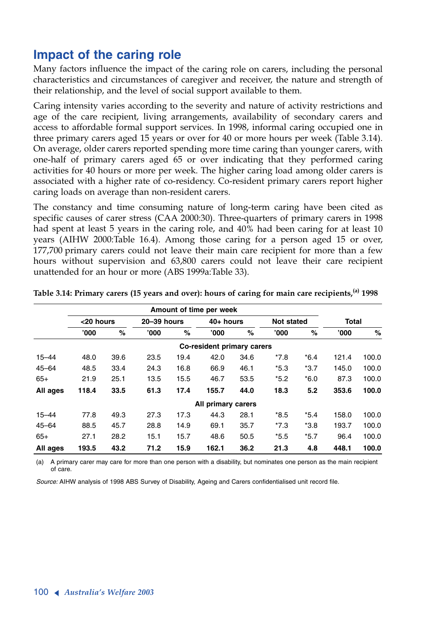# **Impact of the caring role**

Many factors influence the impact of the caring role on carers, including the personal characteristics and circumstances of caregiver and receiver, the nature and strength of their relationship, and the level of social support available to them.

Caring intensity varies according to the severity and nature of activity restrictions and age of the care recipient, living arrangements, availability of secondary carers and access to affordable formal support services. In 1998, informal caring occupied one in three primary carers aged 15 years or over for 40 or more hours per week (Table 3.14). On average, older carers reported spending more time caring than younger carers, with one-half of primary carers aged 65 or over indicating that they performed caring activities for 40 hours or more per week. The higher caring load among older carers is associated with a higher rate of co-residency. Co-resident primary carers report higher caring loads on average than non-resident carers.

The constancy and time consuming nature of long-term caring have been cited as specific causes of carer stress (CAA 2000:30). Three-quarters of primary carers in 1998 had spent at least 5 years in the caring role, and 40% had been caring for at least 10 years (AIHW 2000:Table 16.4). Among those caring for a person aged 15 or over, 177,700 primary carers could not leave their main care recipient for more than a few hours without supervision and 63,800 carers could not leave their care recipient unattended for an hour or more (ABS 1999a:Table 33).

|           |           |      |             |      | Amount of time per week    |      |                   |        |              |       |
|-----------|-----------|------|-------------|------|----------------------------|------|-------------------|--------|--------------|-------|
|           | <20 hours |      | 20-39 hours |      | 40+ hours                  |      | <b>Not stated</b> |        | <b>Total</b> |       |
|           | '000      | %    | '000        | %    | '000                       | %    | '000              | %      | '000'        | %     |
|           |           |      |             |      | Co-resident primary carers |      |                   |        |              |       |
| $15 - 44$ | 48.0      | 39.6 | 23.5        | 19.4 | 42.0                       | 34.6 | $*7.8$            | $*6.4$ | 121.4        | 100.0 |
| $45 - 64$ | 48.5      | 33.4 | 24.3        | 16.8 | 66.9                       | 46.1 | $*5.3$            | $*3.7$ | 145.0        | 100.0 |
| $65+$     | 21.9      | 25.1 | 13.5        | 15.5 | 46.7                       | 53.5 | $*5.2$            | $*6.0$ | 87.3         | 100.0 |
| All ages  | 118.4     | 33.5 | 61.3        | 17.4 | 155.7                      | 44.0 | 18.3              | 5.2    | 353.6        | 100.0 |
|           |           |      |             |      | All primary carers         |      |                   |        |              |       |
| $15 - 44$ | 77.8      | 49.3 | 27.3        | 17.3 | 44.3                       | 28.1 | $*8.5$            | $*5.4$ | 158.0        | 100.0 |
| $45 - 64$ | 88.5      | 45.7 | 28.8        | 14.9 | 69.1                       | 35.7 | $*7.3$            | $*3.8$ | 193.7        | 100.0 |
| $65+$     | 27.1      | 28.2 | 15.1        | 15.7 | 48.6                       | 50.5 | $*5.5$            | $*5.7$ | 96.4         | 100.0 |
| All ages  | 193.5     | 43.2 | 71.2        | 15.9 | 162.1                      | 36.2 | 21.3              | 4.8    | 448.1        | 100.0 |

**Table 3.14: Primary carers (15 years and over): hours of caring for main care recipients,(a) <sup>1998</sup>**

(a) A primary carer may care for more than one person with a disability, but nominates one person as the main recipient of care.

*Source:* AIHW analysis of 1998 ABS Survey of Disability, Ageing and Carers confidentialised unit record file.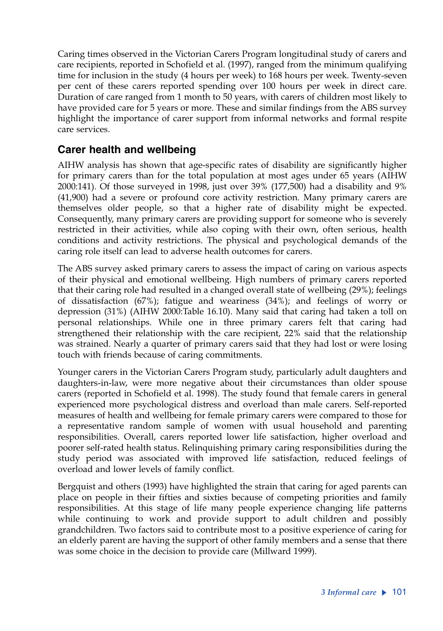Caring times observed in the Victorian Carers Program longitudinal study of carers and care recipients, reported in Schofield et al. (1997), ranged from the minimum qualifying time for inclusion in the study (4 hours per week) to 168 hours per week. Twenty-seven per cent of these carers reported spending over 100 hours per week in direct care. Duration of care ranged from 1 month to 50 years, with carers of children most likely to have provided care for 5 years or more. These and similar findings from the ABS survey highlight the importance of carer support from informal networks and formal respite care services.

### **Carer health and wellbeing**

AIHW analysis has shown that age-specific rates of disability are significantly higher for primary carers than for the total population at most ages under 65 years (AIHW 2000:141). Of those surveyed in 1998, just over 39% (177,500) had a disability and 9% (41,900) had a severe or profound core activity restriction. Many primary carers are themselves older people, so that a higher rate of disability might be expected. Consequently, many primary carers are providing support for someone who is severely restricted in their activities, while also coping with their own, often serious, health conditions and activity restrictions. The physical and psychological demands of the caring role itself can lead to adverse health outcomes for carers.

The ABS survey asked primary carers to assess the impact of caring on various aspects of their physical and emotional wellbeing. High numbers of primary carers reported that their caring role had resulted in a changed overall state of wellbeing (29%); feelings of dissatisfaction (67%); fatigue and weariness (34%); and feelings of worry or depression (31%) (AIHW 2000:Table 16.10). Many said that caring had taken a toll on personal relationships. While one in three primary carers felt that caring had strengthened their relationship with the care recipient, 22% said that the relationship was strained. Nearly a quarter of primary carers said that they had lost or were losing touch with friends because of caring commitments.

Younger carers in the Victorian Carers Program study, particularly adult daughters and daughters-in-law, were more negative about their circumstances than older spouse carers (reported in Schofield et al. 1998). The study found that female carers in general experienced more psychological distress and overload than male carers. Self-reported measures of health and wellbeing for female primary carers were compared to those for a representative random sample of women with usual household and parenting responsibilities. Overall, carers reported lower life satisfaction, higher overload and poorer self-rated health status. Relinquishing primary caring responsibilities during the study period was associated with improved life satisfaction, reduced feelings of overload and lower levels of family conflict.

Bergquist and others (1993) have highlighted the strain that caring for aged parents can place on people in their fifties and sixties because of competing priorities and family responsibilities. At this stage of life many people experience changing life patterns while continuing to work and provide support to adult children and possibly grandchildren. Two factors said to contribute most to a positive experience of caring for an elderly parent are having the support of other family members and a sense that there was some choice in the decision to provide care (Millward 1999).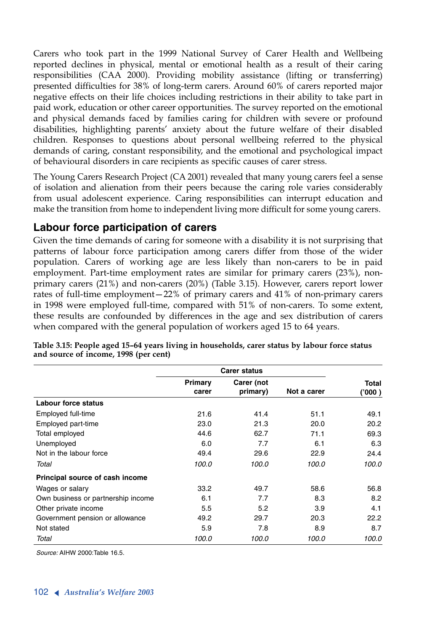Carers who took part in the 1999 National Survey of Carer Health and Wellbeing reported declines in physical, mental or emotional health as a result of their caring responsibilities (CAA 2000). Providing mobility assistance (lifting or transferring) presented difficulties for 38% of long-term carers. Around 60% of carers reported major negative effects on their life choices including restrictions in their ability to take part in paid work, education or other career opportunities. The survey reported on the emotional and physical demands faced by families caring for children with severe or profound disabilities, highlighting parents' anxiety about the future welfare of their disabled children. Responses to questions about personal wellbeing referred to the physical demands of caring, constant responsibility, and the emotional and psychological impact of behavioural disorders in care recipients as specific causes of carer stress.

The Young Carers Research Project (CA 2001) revealed that many young carers feel a sense of isolation and alienation from their peers because the caring role varies considerably from usual adolescent experience. Caring responsibilities can interrupt education and make the transition from home to independent living more difficult for some young carers.

### **Labour force participation of carers**

Given the time demands of caring for someone with a disability it is not surprising that patterns of labour force participation among carers differ from those of the wider population. Carers of working age are less likely than non-carers to be in paid employment. Part-time employment rates are similar for primary carers (23%), nonprimary carers (21%) and non-carers (20%) (Table 3.15). However, carers report lower rates of full-time employment—22% of primary carers and 41% of non-primary carers in 1998 were employed full-time, compared with 51% of non-carers. To some extent, these results are confounded by differences in the age and sex distribution of carers when compared with the general population of workers aged 15 to 64 years.

|                                    | <b>Carer status</b> |            |             |         |
|------------------------------------|---------------------|------------|-------------|---------|
|                                    | Primary             | Carer (not |             | Total   |
|                                    | carer               | primary)   | Not a carer | ('000 ) |
| Labour force status                |                     |            |             |         |
| Employed full-time                 | 21.6                | 41.4       | 51.1        | 49.1    |
| Employed part-time                 | 23.0                | 21.3       | 20.0        | 20.2    |
| Total employed                     | 44.6                | 62.7       | 71.1        | 69.3    |
| Unemployed                         | 6.0                 | 7.7        | 6.1         | 6.3     |
| Not in the labour force            | 49.4                | 29.6       | 22.9        | 24.4    |
| Total                              | 100.0               | 100.0      | 100.0       | 100.0   |
| Principal source of cash income    |                     |            |             |         |
| Wages or salary                    | 33.2                | 49.7       | 58.6        | 56.8    |
| Own business or partnership income | 6.1                 | 7.7        | 8.3         | 8.2     |
| Other private income               | 5.5                 | 5.2        | 3.9         | 4.1     |
| Government pension or allowance    | 49.2                | 29.7       | 20.3        | 22.2    |
| Not stated                         | 5.9                 | 7.8        | 8.9         | 8.7     |
| Total                              | 100.0               | 100.0      | 100.0       | 100.0   |

**Table 3.15: People aged 15–64 years living in households, carer status by labour force status and source of income, 1998 (per cent)**

*Source:* AIHW 2000:Table 16.5.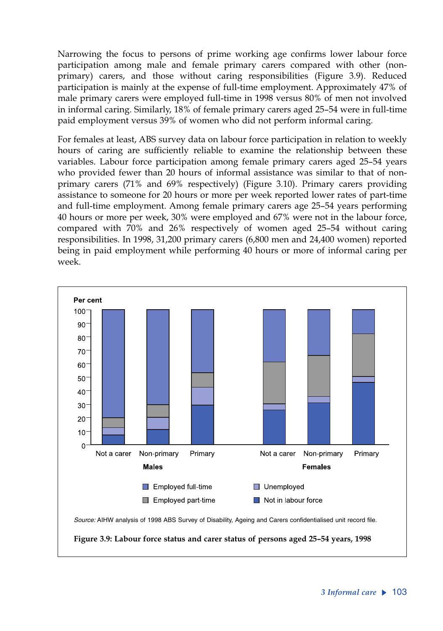Narrowing the focus to persons of prime working age confirms lower labour force participation among male and female primary carers compared with other (nonprimary) carers, and those without caring responsibilities (Figure 3.9). Reduced participation is mainly at the expense of full-time employment. Approximately 47% of male primary carers were employed full-time in 1998 versus 80% of men not involved in informal caring. Similarly, 18% of female primary carers aged 25–54 were in full-time paid employment versus 39% of women who did not perform informal caring.

For females at least, ABS survey data on labour force participation in relation to weekly hours of caring are sufficiently reliable to examine the relationship between these variables. Labour force participation among female primary carers aged 25–54 years who provided fewer than 20 hours of informal assistance was similar to that of nonprimary carers (71% and 69% respectively) (Figure 3.10). Primary carers providing assistance to someone for 20 hours or more per week reported lower rates of part-time and full-time employment. Among female primary carers age 25–54 years performing 40 hours or more per week, 30% were employed and 67% were not in the labour force, compared with 70% and 26% respectively of women aged 25–54 without caring responsibilities. In 1998, 31,200 primary carers (6,800 men and 24,400 women) reported being in paid employment while performing 40 hours or more of informal caring per week.

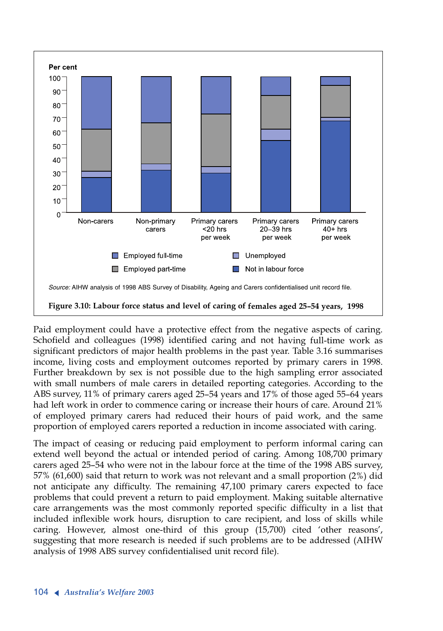

Paid employment could have a protective effect from the negative aspects of caring. Schofield and colleagues (1998) identified caring and not having full-time work as significant predictors of major health problems in the past year. Table 3.16 summarises income, living costs and employment outcomes reported by primary carers in 1998. Further breakdown by sex is not possible due to the high sampling error associated with small numbers of male carers in detailed reporting categories. According to the ABS survey, 11% of primary carers aged 25–54 years and 17% of those aged 55–64 years had left work in order to commence caring or increase their hours of care. Around 21% of employed primary carers had reduced their hours of paid work, and the same proportion of employed carers reported a reduction in income associated with caring.

The impact of ceasing or reducing paid employment to perform informal caring can extend well beyond the actual or intended period of caring. Among 108,700 primary carers aged 25–54 who were not in the labour force at the time of the 1998 ABS survey, 57% (61,600) said that return to work was not relevant and a small proportion (2%) did not anticipate any difficulty. The remaining 47,100 primary carers expected to face problems that could prevent a return to paid employment. Making suitable alternative care arrangements was the most commonly reported specific difficulty in a list that included inflexible work hours, disruption to care recipient, and loss of skills while caring. However, almost one-third of this group (15,700) cited 'other reasons', suggesting that more research is needed if such problems are to be addressed (AIHW analysis of 1998 ABS survey confidentialised unit record file).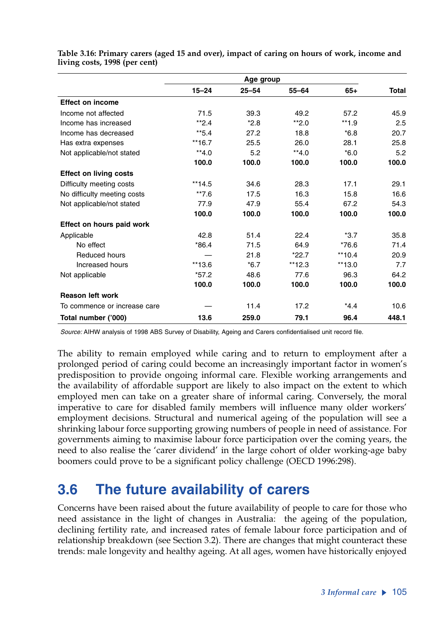|                               | Age group |           |           |          |       |
|-------------------------------|-----------|-----------|-----------|----------|-------|
|                               | $15 - 24$ | $25 - 54$ | $55 - 64$ | $65+$    | Total |
| <b>Effect on income</b>       |           |           |           |          |       |
| Income not affected           | 71.5      | 39.3      | 49.2      | 57.2     | 45.9  |
| Income has increased          | $*2.4$    | $*2.8$    | $*2.0$    | $**1.9$  | 2.5   |
| Income has decreased          | $*5.4$    | 27.2      | 18.8      | $*6.8$   | 20.7  |
| Has extra expenses            | $**16.7$  | 25.5      | 26.0      | 28.1     | 25.8  |
| Not applicable/not stated     | $**4.0$   | 5.2       | $**4.0$   | $*6.0$   | 5.2   |
|                               | 100.0     | 100.0     | 100.0     | 100.0    | 100.0 |
| <b>Effect on living costs</b> |           |           |           |          |       |
| Difficulty meeting costs      | $**14.5$  | 34.6      | 28.3      | 17.1     | 29.1  |
| No difficulty meeting costs   | $*$ *7.6  | 17.5      | 16.3      | 15.8     | 16.6  |
| Not applicable/not stated     | 77.9      | 47.9      | 55.4      | 67.2     | 54.3  |
|                               | 100.0     | 100.0     | 100.0     | 100.0    | 100.0 |
| Effect on hours paid work     |           |           |           |          |       |
| Applicable                    | 42.8      | 51.4      | 22.4      | $*3.7$   | 35.8  |
| No effect                     | $*86.4$   | 71.5      | 64.9      | $*76.6$  | 71.4  |
| Reduced hours                 |           | 21.8      | $*22.7$   | $**10.4$ | 20.9  |
| Increased hours               | $**13.6$  | $*6.7$    | **12.3    | $**13.0$ | 7.7   |
| Not applicable                | $*57.2$   | 48.6      | 77.6      | 96.3     | 64.2  |
|                               | 100.0     | 100.0     | 100.0     | 100.0    | 100.0 |
| <b>Reason left work</b>       |           |           |           |          |       |
| To commence or increase care  |           | 11.4      | 17.2      | $*4.4$   | 10.6  |
| Total number ('000)           | 13.6      | 259.0     | 79.1      | 96.4     | 448.1 |

**Table 3.16: Primary carers (aged 15 and over), impact of caring on hours of work, income and living costs, 1998 (per cent)**

*Source:* AIHW analysis of 1998 ABS Survey of Disability, Ageing and Carers confidentialised unit record file.

The ability to remain employed while caring and to return to employment after a prolonged period of caring could become an increasingly important factor in women's predisposition to provide ongoing informal care. Flexible working arrangements and the availability of affordable support are likely to also impact on the extent to which employed men can take on a greater share of informal caring. Conversely, the moral imperative to care for disabled family members will influence many older workers' employment decisions. Structural and numerical ageing of the population will see a shrinking labour force supporting growing numbers of people in need of assistance. For governments aiming to maximise labour force participation over the coming years, the need to also realise the 'carer dividend' in the large cohort of older working-age baby boomers could prove to be a significant policy challenge (OECD 1996:298).

# **3.6 The future availability of carers**

Concerns have been raised about the future availability of people to care for those who need assistance in the light of changes in Australia: the ageing of the population, declining fertility rate, and increased rates of female labour force participation and of relationship breakdown (see Section 3.2). There are changes that might counteract these trends: male longevity and healthy ageing. At all ages, women have historically enjoyed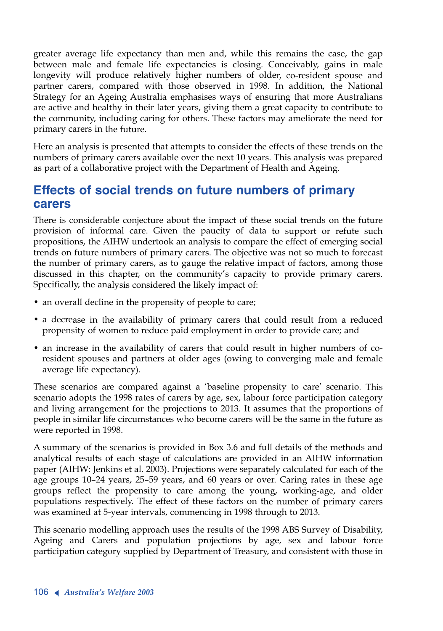greater average life expectancy than men and, while this remains the case, the gap between male and female life expectancies is closing. Conceivably, gains in male longevity will produce relatively higher numbers of older, co-resident spouse and partner carers, compared with those observed in 1998. In addition, the National Strategy for an Ageing Australia emphasises ways of ensuring that more Australians are active and healthy in their later years, giving them a great capacity to contribute to the community, including caring for others. These factors may ameliorate the need for primary carers in the future.

Here an analysis is presented that attempts to consider the effects of these trends on the numbers of primary carers available over the next 10 years. This analysis was prepared as part of a collaborative project with the Department of Health and Ageing.

# **Effects of social trends on future numbers of primary carers**

There is considerable conjecture about the impact of these social trends on the future provision of informal care. Given the paucity of data to support or refute such propositions, the AIHW undertook an analysis to compare the effect of emerging social trends on future numbers of primary carers. The objective was not so much to forecast the number of primary carers, as to gauge the relative impact of factors, among those discussed in this chapter, on the community's capacity to provide primary carers. Specifically, the analysis considered the likely impact of:

- an overall decline in the propensity of people to care;
- <sup>a</sup> decrease in the availability of primary carers that could result from a reduced propensity of women to reduce paid employment in order to provide care; and
- an increase in the availability of carers that could result in higher numbers of coresident spouses and partners at older ages (owing to converging male and female average life expectancy).

These scenarios are compared against a 'baseline propensity to care' scenario. This scenario adopts the 1998 rates of carers by age, sex, labour force participation category and living arrangement for the projections to 2013. It assumes that the proportions of people in similar life circumstances who become carers will be the same in the future as were reported in 1998.

<sup>A</sup> summary of the scenarios is provided in Box 3.6 and full details of the methods and analytical results of each stage of calculations are provided in an AIHW information paper (AIHW: Jenkins et al. 2003). Projections were separately calculated for each of the age groups 10–24 years, 25–59 years, and 60 years or over. Caring rates in these age groups reflect the propensity to care among the young, working-age, and older populations respectively. The effect of these factors on the number of primary carers was examined at 5-year intervals, commencing in 1998 through to 2013.

This scenario modelling approach uses the results of the 1998 ABS Survey of Disability, Ageing and Carers and population projections by age, sex and labour force participation category supplied by Department of Treasury, and consistent with those in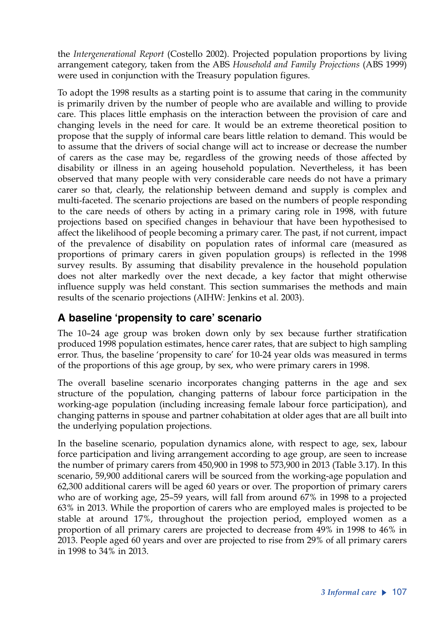the *Intergenerational Report* (Costello 2002). Projected population proportions by living arrangement category, taken from the ABS *Household and Family Projections* (ABS 1999) were used in conjunction with the Treasury population figures.

To adopt the 1998 results as a starting point is to assume that caring in the community is primarily driven by the number of people who are available and willing to provide care. This places little emphasis on the interaction between the provision of care and changing levels in the need for care. It would be an extreme theoretical position to propose that the supply of informal care bears little relation to demand. This would be to assume that the drivers of social change will act to increase or decrease the number of carers as the case may be, regardless of the growing needs of those affected by disability or illness in an ageing household population. Nevertheless, it has been observed that many people with very considerable care needs do not have a primary carer so that, clearly, the relationship between demand and supply is complex and multi-faceted. The scenario projections are based on the numbers of people responding to the care needs of others by acting in a primary caring role in 1998, with future projections based on specified changes in behaviour that have been hypothesised to affect the likelihood of people becoming a primary carer. The past, if not current, impact of the prevalence of disability on population rates of informal care (measured as proportions of primary carers in given population groups) is reflected in the 1998 survey results. By assuming that disability prevalence in the household population does not alter markedly over the next decade, a key factor that might otherwise influence supply was held constant. This section summarises the methods and main results of the scenario projections (AIHW: Jenkins et al. 2003).

### **A baseline 'propensity to care' scenario**

The 10–24 age group was broken down only by sex because further stratification produced 1998 population estimates, hence carer rates, that are subject to high sampling error. Thus, the baseline 'propensity to care' for 10-24 year olds was measured in terms of the proportions of this age group, by sex, who were primary carers in 1998.

The overall baseline scenario incorporates changing patterns in the age and sex structure of the population, changing patterns of labour force participation in the working-age population (including increasing female labour force participation), and changing patterns in spouse and partner cohabitation at older ages that are all built into the underlying population projections.

In the baseline scenario, population dynamics alone, with respect to age, sex, labour force participation and living arrangement according to age group, are seen to increase the number of primary carers from 450,900 in 1998 to 573,900 in 2013 (Table 3.17). In this scenario, 59,900 additional carers will be sourced from the working-age population and 62,300 additional carers will be aged 60 years or over. The proportion of primary carers who are of working age, 25–59 years, will fall from around 67% in 1998 to a projected 63% in 2013. While the proportion of carers who are employed males is projected to be stable at around 17%, throughout the projection period, employed women as a proportion of all primary carers are projected to decrease from 49% in 1998 to 46% in 2013. People aged 60 years and over are projected to rise from 29% of all primary carers in 1998 to 34% in 2013.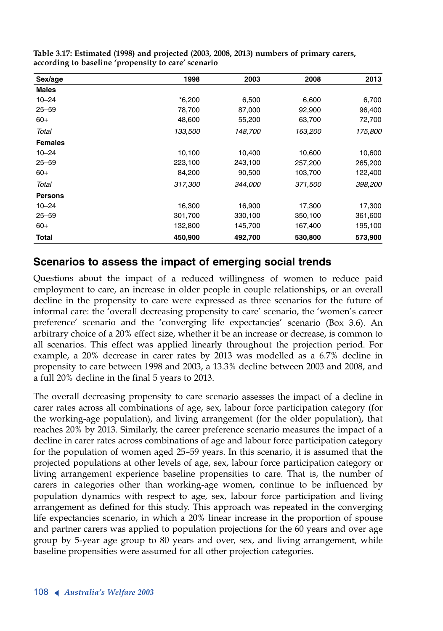| Sex/age        | 1998     | 2003    | 2008    | 2013    |
|----------------|----------|---------|---------|---------|
| <b>Males</b>   |          |         |         |         |
| $10 - 24$      | $*6,200$ | 6,500   | 6,600   | 6,700   |
| $25 - 59$      | 78,700   | 87,000  | 92,900  | 96,400  |
| $60+$          | 48,600   | 55,200  | 63,700  | 72,700  |
| Total          | 133,500  | 148,700 | 163,200 | 175,800 |
| <b>Females</b> |          |         |         |         |
| $10 - 24$      | 10,100   | 10,400  | 10,600  | 10,600  |
| $25 - 59$      | 223,100  | 243,100 | 257,200 | 265,200 |
| $60+$          | 84,200   | 90,500  | 103,700 | 122,400 |
| Total          | 317,300  | 344,000 | 371,500 | 398,200 |
| <b>Persons</b> |          |         |         |         |
| $10 - 24$      | 16,300   | 16,900  | 17,300  | 17,300  |
| $25 - 59$      | 301,700  | 330,100 | 350,100 | 361,600 |
| $60+$          | 132,800  | 145,700 | 167,400 | 195,100 |
| <b>Total</b>   | 450,900  | 492,700 | 530,800 | 573,900 |

**Table 3.17: Estimated (1998) and projected (2003, 2008, 2013) numbers of primary carers, according to baseline 'propensity to care' scenario** 

### **Scenarios to assess the impact of emerging social trends**

Questions about the impact of a reduced willingness of women to reduce paid employment to care, an increase in older people in couple relationships, or an overall decline in the propensity to care were expressed as three scenarios for the future of informal care: the 'overall decreasing propensity to care' scenario, the 'women's career preference' scenario and the 'converging life expectancies' scenario (Box 3.6). An arbitrary choice of a 20% effect size, whether it be an increase or decrease, is common to all scenarios. This effect was applied linearly throughout the projection period. For example, a 20% decrease in carer rates by 2013 was modelled as a 6.7% decline in propensity to care between 1998 and 2003, a 13.3% decline between 2003 and 2008, and a full 20% decline in the final 5 years to 2013.

The overall decreasing propensity to care scenario assesses the impact of a decline in carer rates across all combinations of age, sex, labour force participation category (for the working-age population), and living arrangement (for the older population), that reaches 20% by 2013. Similarly, the career preference scenario measures the impact of a decline in carer rates across combinations of age and labour force participation category for the population of women aged 25–59 years. In this scenario, it is assumed that the projected populations at other levels of age, sex, labour force participation category or living arrangement experience baseline propensities to care. That is, the number of carers in categories other than working-age women, continue to be influenced by population dynamics with respect to age, sex, labour force participation and living arrangement as defined for this study. This approach was repeated in the converging life expectancies scenario, in which a 20% linear increase in the proportion of spouse and partner carers was applied to population projections for the 60 years and over age group by 5-year age group to 80 years and over, sex, and living arrangement, while baseline propensities were assumed for all other projection categories.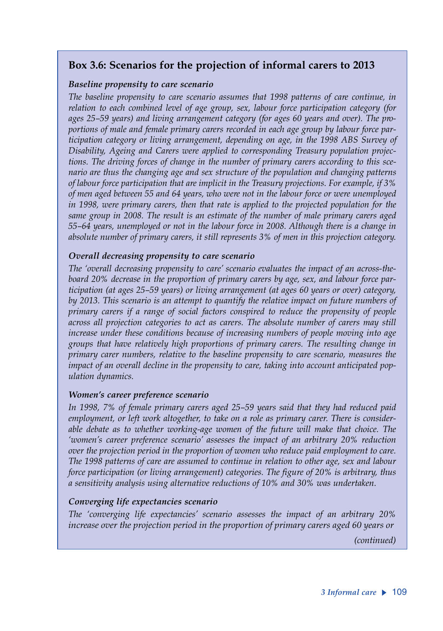### **Box 3.6: Scenarios for the projection of informal carers to 2013**

#### *Baseline propensity to care scenario*

*The baseline propensity to care scenario assumes that 1998 patterns of care continue, in relation to each combined level of age group, sex, labour force participation category (for ages 25–59 years) and living arrangement category (for ages 60 years and over). The proportions of male and female primary carers recorded in each age group by labour force participation category or living arrangement, depending on age, in the 1998 ABS Survey of Disability, Ageing and Carers were applied to corresponding Treasury population projections. The driving forces of change in the number of primary carers according to this scenario are thus the changing age and sex structure of the population and changing patterns of labour force participation that are implicit in the Treasury projections. For example, if 3% of men aged between 55 and 64 years, who were not in the labour force or were unemployed in 1998, were primary carers, then that rate is applied to the projected population for the same group in 2008. The result is an estimate of the number of male primary carers aged 55–64 years, unemployed or not in the labour force in 2008. Although there is a change in absolute number of primary carers, it still represents 3% of men in this projection category.*

#### *Overall decreasing propensity to care scenario*

*The 'overall decreasing propensity to care' scenario evaluates the impact of an across-theboard 20% decrease in the proportion of primary carers by age, sex, and labour force participation (at ages 25–59 years) or living arrangement (at ages 60 years or over) category, by 2013. This scenario is an attempt to quantify the relative impact on future numbers of primary carers if a range of social factors conspired to reduce the propensity of people across all projection categories to act as carers. The absolute number of carers may still increase under these conditions because of increasing numbers of people moving into age groups that have relatively high proportions of primary carers. The resulting change in primary carer numbers, relative to the baseline propensity to care scenario, measures the impact of an overall decline in the propensity to care, taking into account anticipated population dynamics.* 

#### *Women's career preference scenario*

*In 1998, 7% of female primary carers aged 25–59 years said that they had reduced paid employment, or left work altogether, to take on a role as primary carer. There is considerable debate as to whether working-age women of the future will make that choice. The 'women's career preference scenario' assesses the impact of an arbitrary 20% reduction over the projection period in the proportion of women who reduce paid employment to care. The 1998 patterns of care are assumed to continue in relation to other age, sex and labour force participation (or living arrangement) categories. The figure of 20% is arbitrary, thus a sensitivity analysis using alternative reductions of 10% and 30% was undertaken.* 

#### *Converging life expectancies scenario*

*The 'converging life expectancies' scenario assesses the impact of an arbitrary 20% increase over the projection period in the proportion of primary carers aged 60 years or* 

*(continued)*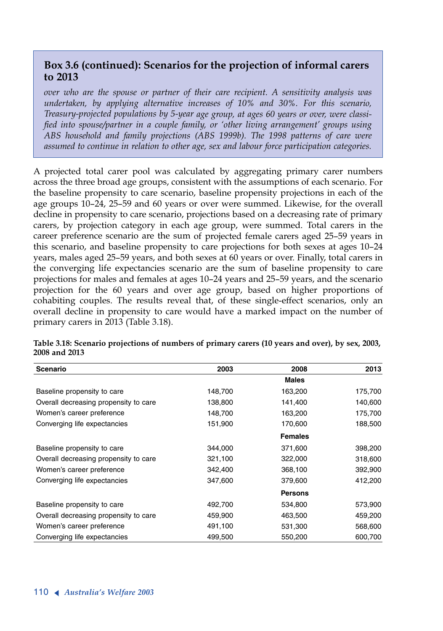### **Box 3.6 (continued): Scenarios for the projection of informal carers to 2013**

*over who are the spouse or partner of their care recipient. A sensitivity analysis was undertaken, by applying alternative increases of 10% and 30%. For this scenario, Treasury-projected populations by 5-year age group, at ages 60 years or over, were classified into spouse/partner in a couple family, or 'other living arrangement' groups using ABS household and family projections (ABS 1999b). The 1998 patterns of care were assumed to continue in relation to other age, sex and labour force participation categories.*

<sup>A</sup> projected total carer pool was calculated by aggregating primary carer numbers across the three broad age groups, consistent with the assumptions of each scenario. For the baseline propensity to care scenario, baseline propensity projections in each of the age groups 10–24, 25–59 and 60 years or over were summed. Likewise, for the overall decline in propensity to care scenario, projections based on a decreasing rate of primary carers, by projection category in each age group, were summed. Total carers in the career preference scenario are the sum of projected female carers aged 25–59 years in this scenario, and baseline propensity to care projections for both sexes at ages 10–24 years, males aged 25–59 years, and both sexes at 60 years or over. Finally, total carers in the converging life expectancies scenario are the sum of baseline propensity to care projections for males and females at ages 10–24 years and 25–59 years, and the scenario projection for the 60 years and over age group, based on higher proportions of cohabiting couples. The results reveal that, of these single-effect scenarios, only an overall decline in propensity to care would have a marked impact on the number of primary carers in 2013 (Table 3.18).

| <b>Scenario</b>                       | 2003    | 2008           | 2013    |
|---------------------------------------|---------|----------------|---------|
|                                       |         | <b>Males</b>   |         |
| Baseline propensity to care           | 148,700 | 163,200        | 175,700 |
| Overall decreasing propensity to care | 138,800 | 141,400        | 140,600 |
| Women's career preference             | 148,700 | 163,200        | 175,700 |
| Converging life expectancies          | 151,900 | 170,600        | 188,500 |
|                                       |         | <b>Females</b> |         |
| Baseline propensity to care           | 344,000 | 371,600        | 398,200 |
| Overall decreasing propensity to care | 321,100 | 322,000        | 318,600 |
| Women's career preference             | 342,400 | 368,100        | 392,900 |
| Converging life expectancies          | 347,600 | 379,600        | 412,200 |
|                                       |         | <b>Persons</b> |         |
| Baseline propensity to care           | 492,700 | 534,800        | 573,900 |
| Overall decreasing propensity to care | 459,900 | 463,500        | 459,200 |
| Women's career preference             | 491,100 | 531,300        | 568,600 |
| Converging life expectancies          | 499,500 | 550,200        | 600,700 |

**Table 3.18: Scenario projections of numbers of primary carers (10 years and over), by sex, 2003, 2008 and 2013**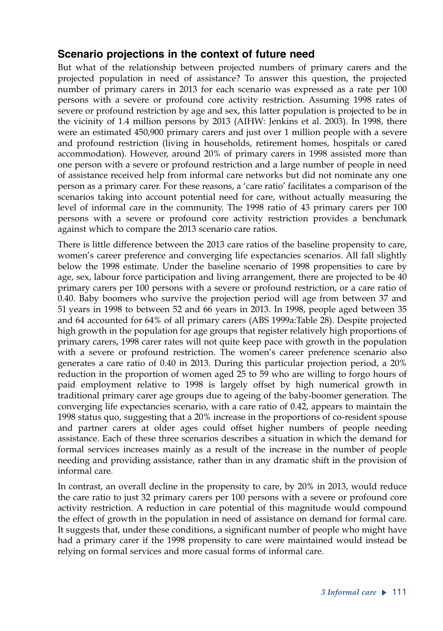### **Scenario projections in the context of future need**

But what of the relationship between projected numbers of primary carers and the projected population in need of assistance? To answer this question, the projected number of primary carers in 2013 for each scenario was expressed as a rate per 100 persons with a severe or profound core activity restriction. Assuming 1998 rates of severe or profound restriction by age and sex, this latter population is projected to be in the vicinity of 1.4 million persons by 2013 (AIHW: Jenkins et al. 2003). In 1998, there were an estimated 450,900 primary carers and just over 1 million people with a severe and profound restriction (living in households, retirement homes, hospitals or cared accommodation). However, around 20% of primary carers in 1998 assisted more than one person with a severe or profound restriction and a large number of people in need of assistance received help from informal care networks but did not nominate any one person as a primary carer. For these reasons, a 'care ratio' facilitates a comparison of the scenarios taking into account potential need for care, without actually measuring the level of informal care in the community. The 1998 ratio of 43 primary carers per 100 persons with a severe or profound core activity restriction provides a benchmark against which to compare the 2013 scenario care ratios.

There is little difference between the 2013 care ratios of the baseline propensity to care, women's career preference and converging life expectancies scenarios. All fall slightly below the 1998 estimate. Under the baseline scenario of 1998 propensities to care by age, sex, labour force participation and living arrangement, there are projected to be 40 primary carers per 100 persons with a severe or profound restriction, or a care ratio of 0.40. Baby boomers who survive the projection period will age from between 37 and 51 years in 1998 to between 52 and 66 years in 2013. In 1998, people aged between 35 and 64 accounted for 64% of all primary carers (ABS 1999a:Table 28). Despite projected high growth in the population for age groups that register relatively high proportions of primary carers, 1998 carer rates will not quite keep pace with growth in the population with a severe or profound restriction. The women's career preference scenario also generates a care ratio of 0.40 in 2013. During this particular projection period, a 20% reduction in the proportion of women aged 25 to 59 who are willing to forgo hours of paid employment relative to 1998 is largely offset by high numerical growth in traditional primary carer age groups due to ageing of the baby-boomer generation. The converging life expectancies scenario, with a care ratio of 0.42, appears to maintain the 1998 status quo, suggesting that a 20% increase in the proportions of co-resident spouse and partner carers at older ages could offset higher numbers of people needing assistance. Each of these three scenarios describes a situation in which the demand for formal services increases mainly as a result of the increase in the number of people needing and providing assistance, rather than in any dramatic shift in the provision of informal care.

In contrast, an overall decline in the propensity to care, by 20% in 2013, would reduce the care ratio to just 32 primary carers per 100 persons with a severe or profound core activity restriction. A reduction in care potential of this magnitude would compound the effect of growth in the population in need of assistance on demand for formal care. It suggests that, under these conditions, a significant number of people who might have had a primary carer if the 1998 propensity to care were maintained would instead be relying on formal services and more casual forms of informal care.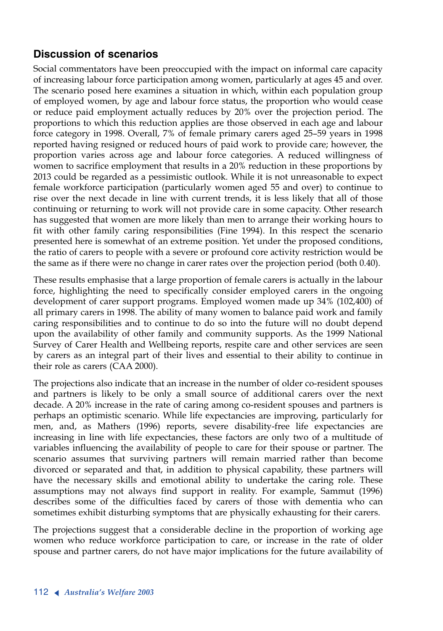### **Discussion of scenarios**

Social commentators have been preoccupied with the impact on informal care capacity of increasing labour force participation among women, particularly at ages 45 and over. The scenario posed here examines a situation in which, within each population group of employed women, by age and labour force status, the proportion who would cease or reduce paid employment actually reduces by 20% over the projection period. The proportions to which this reduction applies are those observed in each age and labour force category in 1998. Overall, 7% of female primary carers aged 25–59 years in 1998 reported having resigned or reduced hours of paid work to provide care; however, the proportion varies across age and labour force categories. A reduced willingness of women to sacrifice employment that results in a 20% reduction in these proportions by 2013 could be regarded as a pessimistic outlook. While it is not unreasonable to expect female workforce participation (particularly women aged 55 and over) to continue to rise over the next decade in line with current trends, it is less likely that all of those continuing or returning to work will not provide care in some capacity. Other research has suggested that women are more likely than men to arrange their working hours to fit with other family caring responsibilities (Fine 1994). In this respect the scenario presented here is somewhat of an extreme position. Yet under the proposed conditions, the ratio of carers to people with a severe or profound core activity restriction would be the same as if there were no change in carer rates over the projection period (both 0.40).

These results emphasise that a large proportion of female carers is actually in the labour force, highlighting the need to specifically consider employed carers in the ongoing development of carer support programs. Employed women made up 34% (102,400) of all primary carers in 1998. The ability of many women to balance paid work and family caring responsibilities and to continue to do so into the future will no doubt depend upon the availability of other family and community supports. As the 1999 National Survey of Carer Health and Wellbeing reports, respite care and other services are seen by carers as an integral part of their lives and essential to their ability to continue in their role as carers (CAA 2000).

The projections also indicate that an increase in the number of older co-resident spouses and partners is likely to be only a small source of additional carers over the next decade. A 20% increase in the rate of caring among co-resident spouses and partners is perhaps an optimistic scenario. While life expectancies are improving, particularly for men, and, as Mathers (1996) reports, severe disability-free life expectancies are increasing in line with life expectancies, these factors are only two of a multitude of variables influencing the availability of people to care for their spouse or partner. The scenario assumes that surviving partners will remain married rather than become divorced or separated and that, in addition to physical capability, these partners will have the necessary skills and emotional ability to undertake the caring role. These assumptions may not always find support in reality. For example, Sammut (1996) describes some of the difficulties faced by carers of those with dementia who can sometimes exhibit disturbing symptoms that are physically exhausting for their carers.

The projections suggest that a considerable decline in the proportion of working age women who reduce workforce participation to care, or increase in the rate of older spouse and partner carers, do not have major implications for the future availability of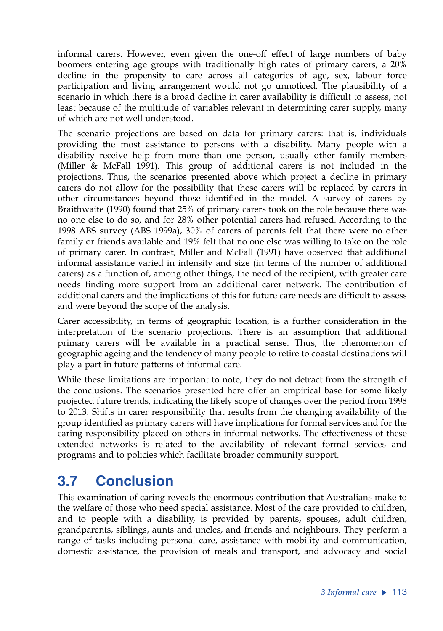informal carers. However, even given the one-off effect of large numbers of baby boomers entering age groups with traditionally high rates of primary carers, a 20% decline in the propensity to care across all categories of age, sex, labour force participation and living arrangement would not go unnoticed. The plausibility of a scenario in which there is a broad decline in carer availability is difficult to assess, not least because of the multitude of variables relevant in determining carer supply, many of which are not well understood.

The scenario projections are based on data for primary carers: that is, individuals providing the most assistance to persons with a disability. Many people with a disability receive help from more than one person, usually other family members (Miller & McFall 1991). This group of additional carers is not included in the projections. Thus, the scenarios presented above which project a decline in primary carers do not allow for the possibility that these carers will be replaced by carers in other circumstances beyond those identified in the model. A survey of carers by Braithwaite (1990) found that 25% of primary carers took on the role because there was no one else to do so, and for 28% other potential carers had refused. According to the 1998 ABS survey (ABS 1999a), 30% of carers of parents felt that there were no other family or friends available and 19% felt that no one else was willing to take on the role of primary carer. In contrast, Miller and McFall (1991) have observed that additional informal assistance varied in intensity and size (in terms of the number of additional carers) as a function of, among other things, the need of the recipient, with greater care needs finding more support from an additional carer network. The contribution of additional carers and the implications of this for future care needs are difficult to assess and were beyond the scope of the analysis.

Carer accessibility, in terms of geographic location, is a further consideration in the interpretation of the scenario projections. There is an assumption that additional primary carers will be available in a practical sense. Thus, the phenomenon of geographic ageing and the tendency of many people to retire to coastal destinations will play a part in future patterns of informal care.

While these limitations are important to note, they do not detract from the strength of the conclusions. The scenarios presented here offer an empirical base for some likely projected future trends, indicating the likely scope of changes over the period from 1998 to 2013. Shifts in carer responsibility that results from the changing availability of the group identified as primary carers will have implications for formal services and for the caring responsibility placed on others in informal networks. The effectiveness of these extended networks is related to the availability of relevant formal services and programs and to policies which facilitate broader community support.

# **3.7 Conclusion**

This examination of caring reveals the enormous contribution that Australians make to the welfare of those who need special assistance. Most of the care provided to children, and to people with a disability, is provided by parents, spouses, adult children, grandparents, siblings, aunts and uncles, and friends and neighbours. They perform a range of tasks including personal care, assistance with mobility and communication, domestic assistance, the provision of meals and transport, and advocacy and social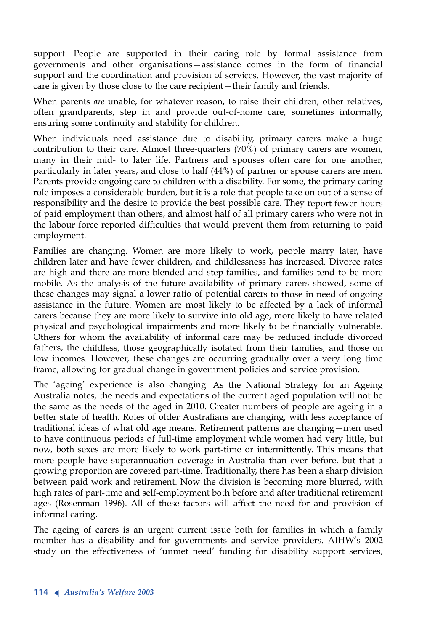support. People are supported in their caring role by formal assistance from governments and other organisations—assistance comes in the form of financial support and the coordination and provision of services. However, the vast majority of care is given by those close to the care recipient—their family and friends.

When parents *are* unable, for whatever reason, to raise their children, other relatives, often grandparents, step in and provide out-of-home care, sometimes informally, ensuring some continuity and stability for children.

When individuals need assistance due to disability, primary carers make a huge contribution to their care. Almost three-quarters  $(70\%)$  of primary carers are women, many in their mid- to later life. Partners and spouses often care for one another, particularly in later years, and close to half (44%) of partner or spouse carers are men. Parents provide ongoing care to children with a disability. For some, the primary caring role imposes a considerable burden, but it is a role that people take on out of a sense of responsibility and the desire to provide the best possible care. They report fewer hours of paid employment than others, and almost half of all primary carers who were not in the labour force reported difficulties that would prevent them from returning to paid employment.

Families are changing. Women are more likely to work, people marry later, have children later and have fewer children, and childlessness has increased. Divorce rates are high and there are more blended and step-families, and families tend to be more mobile. As the analysis of the future availability of primary carers showed, some of these changes may signal a lower ratio of potential carers to those in need of ongoing assistance in the future. Women are most likely to be affected by a lack of informal carers because they are more likely to survive into old age, more likely to have related physical and psychological impairments and more likely to be financially vulnerable. Others for whom the availability of informal care may be reduced include divorced fathers, the childless, those geographically isolated from their families, and those on low incomes. However, these changes are occurring gradually over a very long time frame, allowing for gradual change in government policies and service provision.

The 'ageing' experience is also changing. As the National Strategy for an Ageing Australia notes, the needs and expectations of the current aged population will not be the same as the needs of the aged in 2010. Greater numbers of people are ageing in a better state of health. Roles of older Australians are changing, with less acceptance of traditional ideas of what old age means. Retirement patterns are changing—men used to have continuous periods of full-time employment while women had very little, but now, both sexes are more likely to work part-time or intermittently. This means that more people have superannuation coverage in Australia than ever before, but that a growing proportion are covered part-time. Traditionally, there has been a sharp division between paid work and retirement. Now the division is becoming more blurred, with high rates of part-time and self-employment both before and after traditional retirement ages (Rosenman 1996). All of these factors will affect the need for and provision of informal caring.

The ageing of carers is an urgent current issue both for families in which a family member has a disability and for governments and service providers. AIHW's 2002 study on the effectiveness of 'unmet need' funding for disability support services,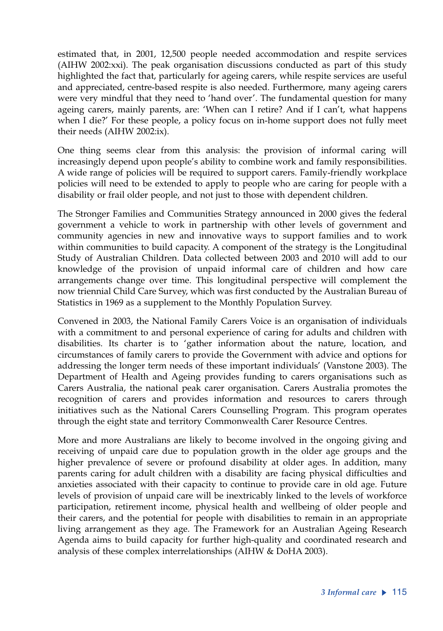estimated that, in 2001, 12,500 people needed accommodation and respite services (AIHW 2002:xxi). The peak organisation discussions conducted as part of this study highlighted the fact that, particularly for ageing carers, while respite services are useful and appreciated, centre-based respite is also needed. Furthermore, many ageing carers were very mindful that they need to 'hand over'. The fundamental question for many ageing carers, mainly parents, are: 'When can I retire? And if I can't, what happens when I die?' For these people, a policy focus on in-home support does not fully meet their needs (AIHW 2002:ix).

One thing seems clear from this analysis: the provision of informal caring will increasingly depend upon people's ability to combine work and family responsibilities. A wide range of policies will be required to support carers. Family-friendly workplace policies will need to be extended to apply to people who are caring for people with a disability or frail older people, and not just to those with dependent children.

The Stronger Families and Communities Strategy announced in 2000 gives the federal government a vehicle to work in partnership with other levels of government and community agencies in new and innovative ways to support families and to work within communities to build capacity. A component of the strategy is the Longitudinal Study of Australian Children. Data collected between 2003 and 2010 will add to our knowledge of the provision of unpaid informal care of children and how care arrangements change over time. This longitudinal perspective will complement the now triennial Child Care Survey, which was first conducted by the Australian Bureau of Statistics in 1969 as a supplement to the Monthly Population Survey.

Convened in 2003, the National Family Carers Voice is an organisation of individuals with a commitment to and personal experience of caring for adults and children with disabilities. Its charter is to 'gather information about the nature, location, and circumstances of family carers to provide the Government with advice and options for addressing the longer term needs of these important individuals' (Vanstone 2003). The Department of Health and Ageing provides funding to carers organisations such as Carers Australia, the national peak carer organisation. Carers Australia promotes the recognition of carers and provides information and resources to carers through initiatives such as the National Carers Counselling Program. This program operates through the eight state and territory Commonwealth Carer Resource Centres.

More and more Australians are likely to become involved in the ongoing giving and receiving of unpaid care due to population growth in the older age groups and the higher prevalence of severe or profound disability at older ages. In addition, many parents caring for adult children with a disability are facing physical difficulties and anxieties associated with their capacity to continue to provide care in old age. Future levels of provision of unpaid care will be inextricably linked to the levels of workforce participation, retirement income, physical health and wellbeing of older people and their carers, and the potential for people with disabilities to remain in an appropriate living arrangement as they age. The Framework for an Australian Ageing Research Agenda aims to build capacity for further high-quality and coordinated research and analysis of these complex interrelationships (AIHW & DoHA 2003).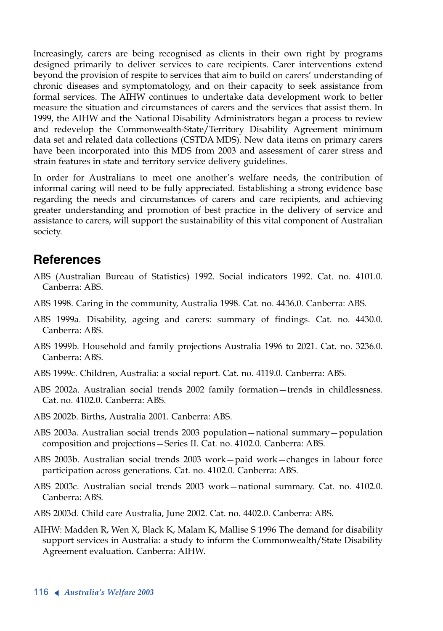Increasingly, carers are being recognised as clients in their own right by programs designed primarily to deliver services to care recipients. Carer interventions extend beyond the provision of respite to services that aim to build on carers' understanding of chronic diseases and symptomatology, and on their capacity to seek assistance from formal services. The AIHW continues to undertake data development work to better measure the situation and circumstances of carers and the services that assist them. In 1999, the AIHW and the National Disability Administrators began a process to review and redevelop the Commonwealth-State/Territory Disability Agreement minimum data set and related data collections (CSTDA MDS). New data items on primary carers have been incorporated into this MDS from 2003 and assessment of carer stress and strain features in state and territory service delivery guidelines.

In order for Australians to meet one another's welfare needs, the contribution of informal caring will need to be fully appreciated. Establishing a strong evidence base regarding the needs and circumstances of carers and care recipients, and achieving greater understanding and promotion of best practice in the delivery of service and assistance to carers, will support the sustainability of this vital component of Australian society.

## **References**

- ABS (Australian Bureau of Statistics) 1992. Social indicators 1992. Cat. no. 4101.0. Canberra: ABS.
- ABS 1998. Caring in the community, Australia 1998. Cat. no. 4436.0. Canberra: ABS.
- ABS 1999a. Disability, ageing and carers: summary of findings. Cat. no. 4430.0. Canberra: ABS.
- ABS 1999b. Household and family projections Australia 1996 to 2021. Cat. no. 3236.0. Canberra: ABS.
- ABS 1999c. Children, Australia: a social report. Cat. no. 4119.0. Canberra: ABS.
- ABS 2002a. Australian social trends 2002 family formation—trends in childlessness. Cat. no. 4102.0. Canberra: ABS.
- ABS 2002b. Births, Australia 2001. Canberra: ABS.
- ABS 2003a. Australian social trends 2003 population—national summary—population composition and projections—Series II. Cat. no. 4102.0. Canberra: ABS.
- ABS 2003b. Australian social trends 2003 work—paid work—changes in labour force participation across generations. Cat. no. 4102.0. Canberra: ABS.
- ABS 2003c. Australian social trends 2003 work—national summary. Cat. no. 4102.0. Canberra: ABS.
- ABS 2003d. Child care Australia, June 2002. Cat. no. 4402.0. Canberra: ABS.
- AIHW: Madden R, Wen X, Black K, Malam K, Mallise S 1996 The demand for disability support services in Australia: a study to inform the Commonwealth/State Disability Agreement evaluation. Canberra: AIHW.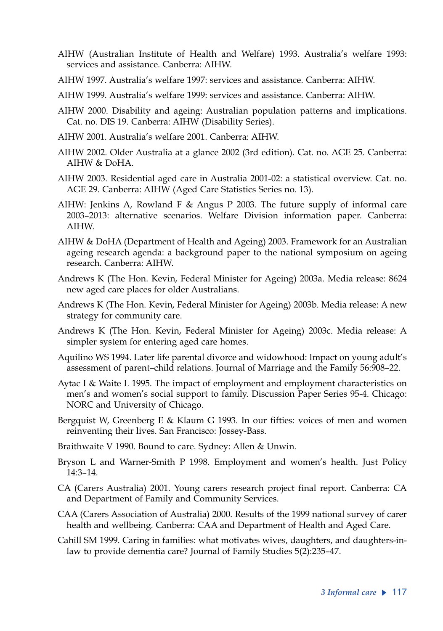- AIHW (Australian Institute of Health and Welfare) 1993. Australia's welfare 1993: services and assistance. Canberra: AIHW.
- AIHW 1997. Australia's welfare 1997: services and assistance. Canberra: AIHW.
- AIHW 1999. Australia's welfare 1999: services and assistance. Canberra: AIHW.
- AIHW 2000. Disability and ageing: Australian population patterns and implications. Cat. no. DIS 19. Canberra: AIHW (Disability Series).
- AIHW 2001. Australia's welfare 2001. Canberra: AIHW.
- AIHW 2002. Older Australia at a glance 2002 (3rd edition). Cat. no. AGE 25. Canberra: AIHW & DoHA.
- AIHW 2003. Residential aged care in Australia 2001-02: a statistical overview. Cat. no. AGE 29. Canberra: AIHW (Aged Care Statistics Series no. 13).
- AIHW: Jenkins A, Rowland F & Angus P 2003. The future supply of informal care 2003–2013: alternative scenarios. Welfare Division information paper. Canberra: AIHW.
- AIHW & DoHA (Department of Health and Ageing) 2003. Framework for an Australian ageing research agenda: a background paper to the national symposium on ageing research. Canberra: AIHW.
- Andrews K (The Hon. Kevin, Federal Minister for Ageing) 2003a. Media release: 8624 new aged care places for older Australians.
- Andrews K (The Hon. Kevin, Federal Minister for Ageing) 2003b. Media release: A new strategy for community care.
- Andrews K (The Hon. Kevin, Federal Minister for Ageing) 2003c. Media release: A simpler system for entering aged care homes.
- Aquilino WS 1994. Later life parental divorce and widowhood: Impact on young adult's assessment of parent–child relations. Journal of Marriage and the Family 56:908–22.
- Aytac I & Waite L 1995. The impact of employment and employment characteristics on men's and women's social support to family. Discussion Paper Series 95-4. Chicago: NORC and University of Chicago.
- Bergquist W, Greenberg E & Klaum G 1993. In our fifties: voices of men and women reinventing their lives. San Francisco: Jossey-Bass.
- Braithwaite V 1990. Bound to care. Sydney: Allen & Unwin.
- Bryson L and Warner-Smith P 1998. Employment and women's health. Just Policy 14:3–14.
- CA (Carers Australia) 2001. Young carers research project final report. Canberra: CA and Department of Family and Community Services.
- CAA (Carers Association of Australia) 2000. Results of the 1999 national survey of carer health and wellbeing. Canberra: CAA and Department of Health and Aged Care.
- Cahill SM 1999. Caring in families: what motivates wives, daughters, and daughters-inlaw to provide dementia care? Journal of Family Studies 5(2):235–47.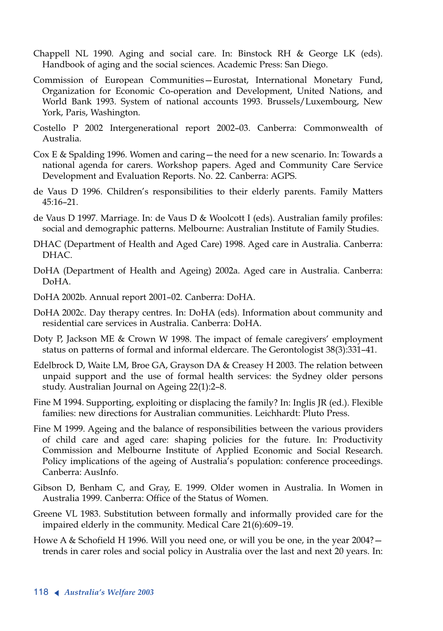- Chappell NL 1990. Aging and social care. In: Binstock RH & George LK (eds). Handbook of aging and the social sciences. Academic Press: San Diego.
- Commission of European Communities—Eurostat, International Monetary Fund, Organization for Economic Co-operation and Development, United Nations, and World Bank 1993. System of national accounts 1993. Brussels/Luxembourg, New York, Paris, Washington.
- Costello P 2002 Intergenerational report 2002–03. Canberra: Commonwealth of Australia.
- Cox E & Spalding 1996. Women and caring—the need for a new scenario. In: Towards a national agenda for carers. Workshop papers. Aged and Community Care Service Development and Evaluation Reports. No. 22. Canberra: AGPS.
- de Vaus D 1996. Children's responsibilities to their elderly parents. Family Matters  $45.16 - 21$
- de Vaus D 1997. Marriage. In: de Vaus D & Woolcott I (eds). Australian family profiles: social and demographic patterns. Melbourne: Australian Institute of Family Studies.
- DHAC (Department of Health and Aged Care) 1998. Aged care in Australia. Canberra: DHAC.
- DoHA (Department of Health and Ageing) 2002a. Aged care in Australia. Canberra: DoHA.
- DoHA 2002b. Annual report 2001–02. Canberra: DoHA.
- DoHA 2002c. Day therapy centres. In: DoHA (eds). Information about community and residential care services in Australia. Canberra: DoHA.
- Doty P, Jackson ME & Crown W 1998. The impact of female caregivers' employment status on patterns of formal and informal eldercare. The Gerontologist 38(3):331–41.
- Edelbrock D, Waite LM, Broe GA, Grayson DA & Creasey H 2003. The relation between unpaid support and the use of formal health services: the Sydney older persons study. Australian Journal on Ageing 22(1):2–8.
- Fine M 1994. Supporting, exploiting or displacing the family? In: Inglis JR (ed.). Flexible families: new directions for Australian communities. Leichhardt: Pluto Press.
- Fine M 1999. Ageing and the balance of responsibilities between the various providers of child care and aged care: shaping policies for the future. In: Productivity Commission and Melbourne Institute of Applied Economic and Social Research. Policy implications of the ageing of Australia's population: conference proceedings. Canberra: AusInfo.
- Gibson D, Benham C, and Gray, E. 1999. Older women in Australia. In Women in Australia 1999. Canberra: Office of the Status of Women.
- Greene VL 1983. Substitution between formally and informally provided care for the impaired elderly in the community. Medical Care 21(6):609–19.
- Howe A & Schofield H 1996. Will you need one, or will you be one, in the year 2004? trends in carer roles and social policy in Australia over the last and next 20 years. In: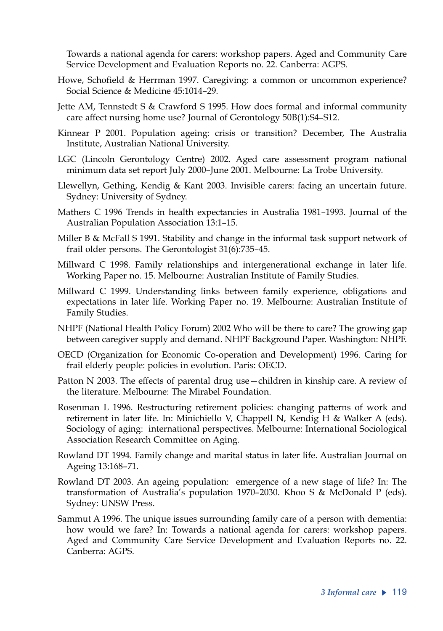Towards a national agenda for carers: workshop papers. Aged and Community Care Service Development and Evaluation Reports no. 22. Canberra: AGPS.

- Howe, Schofield & Herrman 1997. Caregiving: a common or uncommon experience? Social Science & Medicine 45:1014–29.
- Jette AM, Tennstedt S & Crawford S 1995. How does formal and informal community care affect nursing home use? Journal of Gerontology 50B(1):S4–S12.
- Kinnear P 2001. Population ageing: crisis or transition? December, The Australia Institute, Australian National University.
- LGC (Lincoln Gerontology Centre) 2002. Aged care assessment program national minimum data set report July 2000–June 2001. Melbourne: La Trobe University.
- Llewellyn, Gething, Kendig & Kant 2003. Invisible carers: facing an uncertain future. Sydney: University of Sydney.
- Mathers C 1996 Trends in health expectancies in Australia 1981–1993. Journal of the Australian Population Association 13:1–15.
- Miller B & McFall S 1991. Stability and change in the informal task support network of frail older persons. The Gerontologist 31(6):735–45.
- Millward C 1998. Family relationships and intergenerational exchange in later life. Working Paper no. 15. Melbourne: Australian Institute of Family Studies.
- Millward C 1999. Understanding links between family experience, obligations and expectations in later life. Working Paper no. 19. Melbourne: Australian Institute of Family Studies.
- NHPF (National Health Policy Forum) 2002 Who will be there to care? The growing gap between caregiver supply and demand. NHPF Background Paper. Washington: NHPF.
- OECD (Organization for Economic Co-operation and Development) 1996. Caring for frail elderly people: policies in evolution. Paris: OECD.
- Patton N 2003. The effects of parental drug use—children in kinship care. A review of the literature. Melbourne: The Mirabel Foundation.
- Rosenman L 1996. Restructuring retirement policies: changing patterns of work and retirement in later life. In: Minichiello V, Chappell N, Kendig H & Walker A (eds). Sociology of aging: international perspectives. Melbourne: International Sociological Association Research Committee on Aging.
- Rowland DT 1994. Family change and marital status in later life. Australian Journal on Ageing 13:168–71.
- Rowland DT 2003. An ageing population: emergence of a new stage of life? In: The transformation of Australia's population 1970–2030. Khoo S & McDonald P (eds). Sydney: UNSW Press.
- Sammut A 1996. The unique issues surrounding family care of a person with dementia: how would we fare? In: Towards a national agenda for carers: workshop papers. Aged and Community Care Service Development and Evaluation Reports no. 22. Canberra: AGPS.